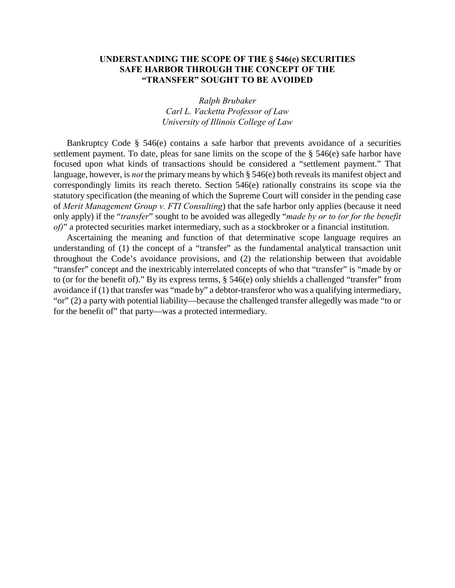#### **UNDERSTANDING THE SCOPE OF THE § 546(e) SECURITIES SAFE HARBOR THROUGH THE CONCEPT OF THE "TRANSFER" SOUGHT TO BE AVOIDED**

*Ralph Brubaker Carl L. Vacketta Professor of Law University of Illinois College of Law*

Bankruptcy Code § 546(e) contains a safe harbor that prevents avoidance of a securities settlement payment. To date, pleas for sane limits on the scope of the § 546(e) safe harbor have focused upon what kinds of transactions should be considered a "settlement payment." That language, however, is *not* the primary means by which § 546(e) both reveals its manifest object and correspondingly limits its reach thereto. Section 546(e) rationally constrains its scope via the statutory specification (the meaning of which the Supreme Court will consider in the pending case of *Merit Management Group v. FTI Consulting*) that the safe harbor only applies (because it need only apply) if the "*transfer*" sought to be avoided was allegedly "*made by or to (or for the benefit of*)" a protected securities market intermediary, such as a stockbroker or a financial institution.

Ascertaining the meaning and function of that determinative scope language requires an understanding of (1) the concept of a "transfer" as the fundamental analytical transaction unit throughout the Code's avoidance provisions, and (2) the relationship between that avoidable "transfer" concept and the inextricably interrelated concepts of who that "transfer" is "made by or to (or for the benefit of)." By its express terms, § 546(e) only shields a challenged "transfer" from avoidance if (1) that transfer was "made by" a debtor-transferor who was a qualifying intermediary, "or" (2) a party with potential liability—because the challenged transfer allegedly was made "to or for the benefit of" that party—was a protected intermediary.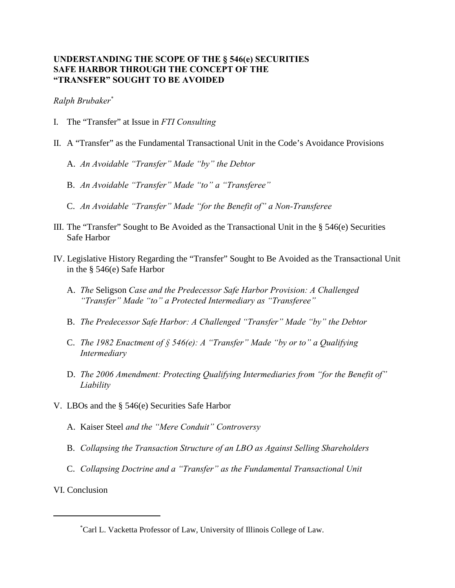#### **UNDERSTANDING THE SCOPE OF THE § 546(e) SECURITIES SAFE HARBOR THROUGH THE CONCEPT OF THE "TRANSFER" SOUGHT TO BE AVOIDED**

*Ralph Brubaker\**

- I. The "Transfer" at Issue in *FTI Consulting*
- II. A "Transfer" as the Fundamental Transactional Unit in the Code's Avoidance Provisions
	- A. *An Avoidable "Transfer" Made "by" the Debtor*
	- B. *An Avoidable "Transfer" Made "to" a "Transferee"*
	- C. *An Avoidable "Transfer" Made "for the Benefit of" a Non-Transferee*
- III. The "Transfer" Sought to Be Avoided as the Transactional Unit in the § 546(e) Securities Safe Harbor
- IV. Legislative History Regarding the "Transfer" Sought to Be Avoided as the Transactional Unit in the § 546(e) Safe Harbor
	- A. *The* Seligson *Case and the Predecessor Safe Harbor Provision: A Challenged "Transfer" Made "to" a Protected Intermediary as "Transferee"*
	- B. *The Predecessor Safe Harbor: A Challenged "Transfer" Made "by" the Debtor*
	- C. *The 1982 Enactment of § 546(e): A "Transfer" Made "by or to" a Qualifying Intermediary*
	- D. *The 2006 Amendment: Protecting Qualifying Intermediaries from "for the Benefit of" Liability*
- V. LBOs and the § 546(e) Securities Safe Harbor
	- A. Kaiser Steel *and the "Mere Conduit" Controversy*
	- B. *Collapsing the Transaction Structure of an LBO as Against Selling Shareholders*
	- C. *Collapsing Doctrine and a "Transfer" as the Fundamental Transactional Unit*
- VI. Conclusion

Carl L. Vacketta Professor of Law, University of Illinois College of Law. \*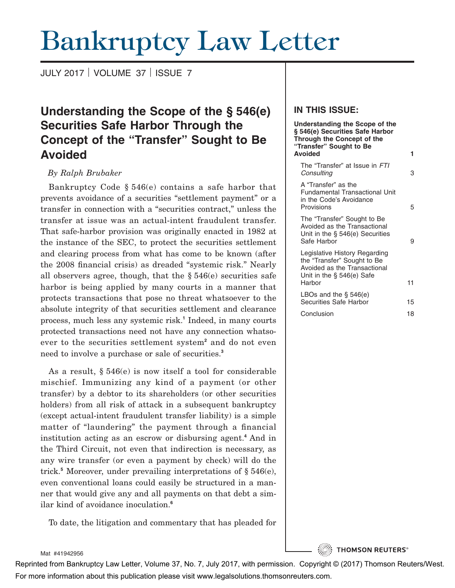# Bankruptcy Law Letter

JULY 2017 VOLUME 37 ISSUE 7

# **Understanding the Scope of the § 546(e) Securities Safe Harbor Through the Concept of the "Transfer" Sought to Be Avoided**

#### *By Ralph Brubaker*

Bankruptcy Code § 546(e) contains a safe harbor that prevents avoidance of a securities "settlement payment" or a transfer in connection with a "securities contract," unless the transfer at issue was an actual-intent fraudulent transfer. That safe-harbor provision was originally enacted in 1982 at the instance of the SEC, to protect the securities settlement and clearing process from what has come to be known (after the 2008 financial crisis) as dreaded "systemic risk." Nearly all observers agree, though, that the  $\S 546(e)$  securities safe harbor is being applied by many courts in a manner that protects transactions that pose no threat whatsoever to the absolute integrity of that securities settlement and clearance process, much less any systemic risk.**<sup>1</sup>** Indeed, in many courts protected transactions need not have any connection whatsoever to the securities settlement system**<sup>2</sup>** and do not even need to involve a purchase or sale of securities.**<sup>3</sup>**

As a result, § 546(e) is now itself a tool for considerable mischief. Immunizing any kind of a payment (or other transfer) by a debtor to its shareholders (or other securities holders) from all risk of attack in a subsequent bankruptcy (except actual-intent fraudulent transfer liability) is a simple matter of "laundering" the payment through a financial institution acting as an escrow or disbursing agent.**<sup>4</sup>** And in the Third Circuit, not even that indirection is necessary, as any wire transfer (or even a payment by check) will do the trick.**<sup>5</sup>** Moreover, under prevailing interpretations of § 546(e), even conventional loans could easily be structured in a manner that would give any and all payments on that debt a similar kind of avoidance inoculation.**<sup>6</sup>**

To date, the litigation and commentary that has pleaded for

#### **IN THIS ISSUE:**

| <b>Understanding the Scope of the</b><br>§ 546(e) Securities Safe Harbor<br>Through the Concept of the<br>"Transfer" Sought to Be      |    |
|----------------------------------------------------------------------------------------------------------------------------------------|----|
| <b>Avoided</b>                                                                                                                         | 1  |
| The "Transfer" at Issue in FTI<br>Consulting                                                                                           | З  |
| A "Transfer" as the<br><b>Fundamental Transactional Unit</b><br>in the Code's Avoidance<br>Provisions                                  | 5  |
| The "Transfer" Sought to Be<br>Avoided as the Transactional<br>Unit in the $\S$ 546(e) Securities<br>Safe Harbor                       | 9  |
| Legislative History Regarding<br>the "Transfer" Sought to Be<br>Avoided as the Transactional<br>Unit in the $\S$ 546(e) Safe<br>Harbor | 11 |
| LBOs and the $\S$ 546(e)<br>Securities Safe Harbor                                                                                     | 15 |
| Conclusion                                                                                                                             | 18 |

**THOMSON REUTERS®** 

Mat #41942956

Reprinted from Bankruptcy Law Letter, Volume 37, No. 7, July 2017, with permission. Copyright © (2017) Thomson Reuters/West. For more information about this publication please visit www.legalsolutions.thomsonreuters.com.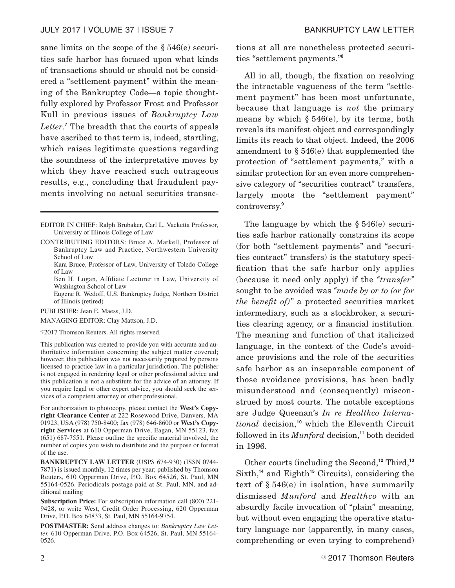sane limits on the scope of the § 546(e) securities safe harbor has focused upon what kinds of transactions should or should not be considered a "settlement payment" within the meaning of the Bankruptcy Code—a topic thoughtfully explored by Professor Frost and Professor Kull in previous issues of *Bankruptcy Law Letter*. **<sup>7</sup>** The breadth that the courts of appeals have ascribed to that term is, indeed, startling, which raises legitimate questions regarding the soundness of the interpretative moves by which they have reached such outrageous results, e.g., concluding that fraudulent payments involving no actual securities transac-

Eugene R. Wedoff, U.S. Bankruptcy Judge, Northern District of Illinois (retired)

PUBLISHER: Jean E. Maess, J.D.

MANAGING EDITOR: Clay Mattson, J.D.

©2017 Thomson Reuters. All rights reserved.

For authorization to photocopy, please contact the **West's Copyright Clearance Center** at 222 Rosewood Drive, Danvers, MA 01923, USA (978) 750-8400; fax (978) 646-8600 or **West's Copyright Services** at 610 Opperman Drive, Eagan, MN 55123, fax (651) 687-7551. Please outline the specific material involved, the number of copies you wish to distribute and the purpose or format of the use.

**Subscription Price:** For subscription information call (800) 221- 9428, or write West, Credit Order Processing, 620 Opperman Drive, P.O. Box 64833, St. Paul, MN 55164-9754.

**POSTMASTER:** Send address changes to: *Bankruptcy Law Letter,* 610 Opperman Drive, P.O. Box 64526, St. Paul, MN 55164- 0526.

tions at all are nonetheless protected securities "settlement payments."**<sup>8</sup>**

All in all, though, the fixation on resolving the intractable vagueness of the term "settlement payment" has been most unfortunate, because that language is *not* the primary means by which  $\S 546(e)$ , by its terms, both reveals its manifest object and correspondingly limits its reach to that object. Indeed, the 2006 amendment to § 546(e) that supplemented the protection of "settlement payments," with a similar protection for an even more comprehensive category of "securities contract" transfers, largely moots the "settlement payment" controversy.**<sup>9</sup>**

The language by which the § 546(e) securities safe harbor rationally constrains its scope (for both "settlement payments" and "securities contract" transfers) is the statutory specification that the safe harbor only applies (because it need only apply) if the *"transfer"* sought to be avoided was *"made by or to (or for the benefit of)"* a protected securities market intermediary, such as a stockbroker, a securities clearing agency, or a financial institution. The meaning and function of that italicized language, in the context of the Code's avoidance provisions and the role of the securities safe harbor as an inseparable component of those avoidance provisions, has been badly misunderstood and (consequently) misconstrued by most courts. The notable exceptions are Judge Queenan's *In re Healthco International* decision,**<sup>10</sup>** which the Eleventh Circuit followed in its *Munford* decision,**<sup>11</sup>** both decided in 1996.

Other courts (including the Second,**<sup>12</sup>** Third,**<sup>13</sup>** Sixth,**<sup>14</sup>** and Eighth**<sup>15</sup>** Circuits), considering the text of § 546(e) in isolation, have summarily dismissed *Munford* and *Healthco* with an absurdly facile invocation of "plain" meaning, but without even engaging the operative statutory language nor (apparently, in many cases, comprehending or even trying to comprehend)

EDITOR IN CHIEF: Ralph Brubaker, Carl L. Vacketta Professor, University of Illinois College of Law

CONTRIBUTING EDITORS: Bruce A. Markell, Professor of Bankruptcy Law and Practice, Northwestern University School of Law

Kara Bruce, Professor of Law, University of Toledo College of Law

Ben H. Logan, Affiliate Lecturer in Law, University of Washington School of Law

This publication was created to provide you with accurate and authoritative information concerning the subject matter covered; however, this publication was not necessarily prepared by persons licensed to practice law in a particular jurisdiction. The publisher is not engaged in rendering legal or other professional advice and this publication is not a substitute for the advice of an attorney. If you require legal or other expert advice, you should seek the services of a competent attorney or other professional.

**BANKRUPTCY LAW LETTER** (USPS 674-930) (ISSN 0744- 7871) is issued monthly, 12 times per year; published by Thomson Reuters, 610 Opperman Drive, P.O. Box 64526, St. Paul, MN 55164-0526. Periodicals postage paid at St. Paul, MN, and additional mailing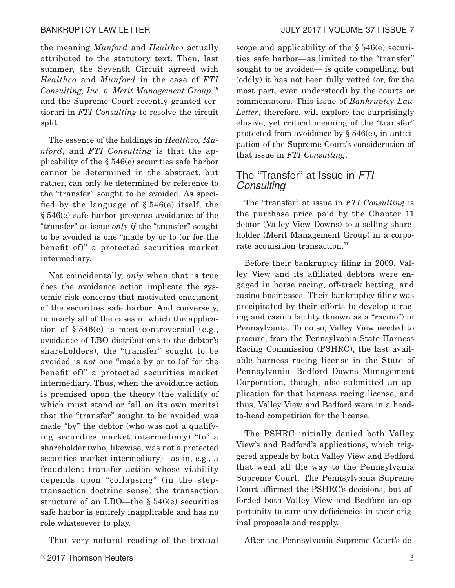the meaning *Munford* and *Healthco* actually attributed to the statutory text. Then, last summer, the Seventh Circuit agreed with *Healthco* and *Munford* in the case of *FTI Consulting, Inc. v. Merit Management Group,***<sup>16</sup>** and the Supreme Court recently granted certiorari in *FTI Consulting* to resolve the circuit split.

The essence of the holdings in *Healthco, Munford*, and *FTI Consulting* is that the applicability of the § 546(e) securities safe harbor cannot be determined in the abstract, but rather, can only be determined by reference to the "transfer" sought to be avoided. As specified by the language of  $\S 546(e)$  itself, the § 546(e) safe harbor prevents avoidance of the "transfer" at issue *only if* the "transfer" sought to be avoided is one "made by or to (or for the benefit of)" a protected securities market intermediary.

Not coincidentally, *only* when that is true does the avoidance action implicate the systemic risk concerns that motivated enactment of the securities safe harbor. And conversely, in nearly all of the cases in which the application of  $\S 546(e)$  is most controversial (e.g., avoidance of LBO distributions to the debtor's shareholders), the "transfer" sought to be avoided is *not* one "made by or to (of for the benefit of)" a protected securities market intermediary. Thus, when the avoidance action is premised upon the theory (the validity of which must stand or fall on its own merits) that the "transfer" sought to be avoided was made "by" the debtor (who was not a qualifying securities market intermediary) "to" a shareholder (who, likewise, was not a protected securities market intermediary)—as in, e.g., a fraudulent transfer action whose viability depends upon "collapsing" (in the steptransaction doctrine sense) the transaction structure of an LBO—the § 546(e) securities safe harbor is entirely inapplicable and has no role whatsoever to play.

That very natural reading of the textual

scope and applicability of the § 546(e) securities safe harbor—as limited to the "transfer" sought to be avoided— is quite compelling, but (oddly) it has not been fully vetted (or, for the most part, even understood) by the courts or commentators. This issue of *Bankruptcy Law Letter*, therefore, will explore the surprisingly elusive, yet critical meaning of the "transfer" protected from avoidance by § 546(e), in anticipation of the Supreme Court's consideration of that issue in *FTI Consulting*.

# The "Transfer" at Issue in FTI Consulting

The "transfer" at issue in *FTI Consulting* is the purchase price paid by the Chapter 11 debtor (Valley View Downs) to a selling shareholder (Merit Management Group) in a corporate acquisition transaction.**<sup>17</sup>**

Before their bankruptcy filing in 2009, Valley View and its affiliated debtors were engaged in horse racing, off-track betting, and casino businesses. Their bankruptcy filing was precipitated by their efforts to develop a racing and casino facility (known as a "racino") in Pennsylvania. To do so, Valley View needed to procure, from the Pennsylvania State Harness Racing Commission (PSHRC), the last available harness racing license in the State of Pennsylvania. Bedford Downs Management Corporation, though, also submitted an application for that harness racing license, and thus, Valley View and Bedford were in a headto-head competition for the license.

The PSHRC initially denied both Valley View's and Bedford's applications, which triggered appeals by both Valley View and Bedford that went all the way to the Pennsylvania Supreme Court. The Pennsylvania Supreme Court affirmed the PSHRC's decisions, but afforded both Valley View and Bedford an opportunity to cure any deficiencies in their original proposals and reapply.

After the Pennsylvania Supreme Court's de-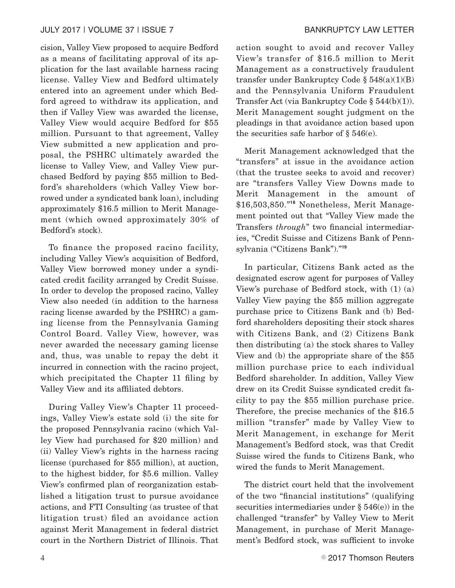cision, Valley View proposed to acquire Bedford as a means of facilitating approval of its application for the last available harness racing license. Valley View and Bedford ultimately entered into an agreement under which Bedford agreed to withdraw its application, and then if Valley View was awarded the license, Valley View would acquire Bedford for \$55 million. Pursuant to that agreement, Valley View submitted a new application and proposal, the PSHRC ultimately awarded the license to Valley View, and Valley View purchased Bedford by paying \$55 million to Bedford's shareholders (which Valley View borrowed under a syndicated bank loan), including approximately \$16.5 million to Merit Management (which owned approximately 30% of Bedford's stock).

To finance the proposed racino facility, including Valley View's acquisition of Bedford, Valley View borrowed money under a syndicated credit facility arranged by Credit Suisse. In order to develop the proposed racino, Valley View also needed (in addition to the harness racing license awarded by the PSHRC) a gaming license from the Pennsylvania Gaming Control Board. Valley View, however, was never awarded the necessary gaming license and, thus, was unable to repay the debt it incurred in connection with the racino project, which precipitated the Chapter 11 filing by Valley View and its affiliated debtors.

During Valley View's Chapter 11 proceedings, Valley View's estate sold (i) the site for the proposed Pennsylvania racino (which Valley View had purchased for \$20 million) and (ii) Valley View's rights in the harness racing license (purchased for \$55 million), at auction, to the highest bidder, for \$5.6 million. Valley View's confirmed plan of reorganization established a litigation trust to pursue avoidance actions, and FTI Consulting (as trustee of that litigation trust) filed an avoidance action against Merit Management in federal district court in the Northern District of Illinois. That action sought to avoid and recover Valley View's transfer of \$16.5 million to Merit Management as a constructively fraudulent transfer under Bankruptcy Code  $\S 548(a)(1)(B)$ and the Pennsylvania Uniform Fraudulent Transfer Act (via Bankruptcy Code § 544(b)(1)). Merit Management sought judgment on the pleadings in that avoidance action based upon the securities safe harbor of  $\S 546(e)$ .

Merit Management acknowledged that the "transfers" at issue in the avoidance action (that the trustee seeks to avoid and recover) are "transfers Valley View Downs made to Merit Management in the amount of \$16,503,850."**<sup>18</sup>** Nonetheless, Merit Management pointed out that "Valley View made the Transfers *through*" two financial intermediaries, "Credit Suisse and Citizens Bank of Pennsylvania ("Citizens Bank")."**<sup>19</sup>**

In particular, Citizens Bank acted as the designated escrow agent for purposes of Valley View's purchase of Bedford stock, with (1) (a) Valley View paying the \$55 million aggregate purchase price to Citizens Bank and (b) Bedford shareholders depositing their stock shares with Citizens Bank, and (2) Citizens Bank then distributing (a) the stock shares to Valley View and (b) the appropriate share of the \$55 million purchase price to each individual Bedford shareholder. In addition, Valley View drew on its Credit Suisse syndicated credit facility to pay the \$55 million purchase price. Therefore, the precise mechanics of the \$16.5 million "transfer" made by Valley View to Merit Management, in exchange for Merit Management's Bedford stock, was that Credit Suisse wired the funds to Citizens Bank, who wired the funds to Merit Management.

The district court held that the involvement of the two "financial institutions" (qualifying securities intermediaries under § 546(e)) in the challenged "transfer" by Valley View to Merit Management, in purchase of Merit Management's Bedford stock, was sufficient to invoke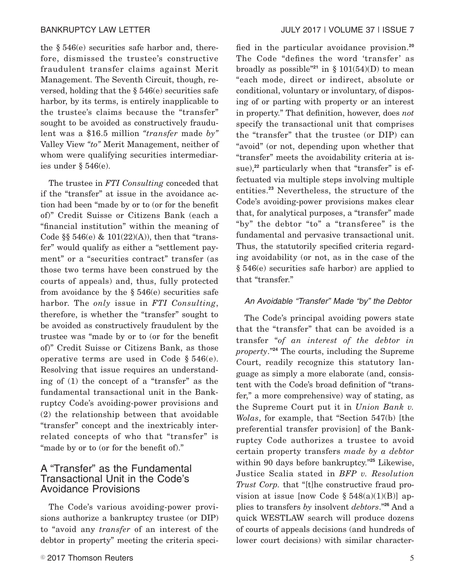the § 546(e) securities safe harbor and, therefore, dismissed the trustee's constructive fraudulent transfer claims against Merit Management. The Seventh Circuit, though, reversed, holding that the § 546(e) securities safe harbor, by its terms, is entirely inapplicable to the trustee's claims because the "transfer" sought to be avoided as constructively fraudulent was a \$16.5 million *"transfer* made *by"* Valley View *"to"* Merit Management, neither of whom were qualifying securities intermediaries under § 546(e).

The trustee in *FTI Consulting* conceded that if the "transfer" at issue in the avoidance action had been "made by or to (or for the benefit of)" Credit Suisse or Citizens Bank (each a "financial institution" within the meaning of Code  $\S$  546(e) & 101(22)(A)), then that "transfer" would qualify as either a "settlement payment" or a "securities contract" transfer (as those two terms have been construed by the courts of appeals) and, thus, fully protected from avoidance by the  $\S 546(e)$  securities safe harbor. The *only* issue in *FTI Consulting*, therefore, is whether the "transfer" sought to be avoided as constructively fraudulent by the trustee was "made by or to (or for the benefit of)" Credit Suisse or Citizens Bank, as those operative terms are used in Code  $§ 546(e)$ . Resolving that issue requires an understanding of (1) the concept of a "transfer" as the fundamental transactional unit in the Bankruptcy Code's avoiding-power provisions and (2) the relationship between that avoidable "transfer" concept and the inextricably interrelated concepts of who that "transfer" is "made by or to (or for the benefit of)."

# A "Transfer" as the Fundamental Transactional Unit in the Code's Avoidance Provisions

The Code's various avoiding-power provisions authorize a bankruptcy trustee (or DIP) to "avoid any *transfer* of an interest of the debtor in property" meeting the criteria specified in the particular avoidance provision.**<sup>20</sup>** The Code "defines the word 'transfer' as broadly as possible<sup>"21</sup> in § 101(54)(D) to mean "each mode, direct or indirect, absolute or conditional, voluntary or involuntary, of disposing of or parting with property or an interest in property." That definition, however, does *not* specify the transactional unit that comprises the "transfer" that the trustee (or DIP) can "avoid" (or not, depending upon whether that "transfer" meets the avoidability criteria at issue),<sup>22</sup> particularly when that "transfer" is effectuated via multiple steps involving multiple entities.**<sup>23</sup>** Nevertheless, the structure of the Code's avoiding-power provisions makes clear that, for analytical purposes, a "transfer" made "by" the debtor "to" a "transferee" is the fundamental and pervasive transactional unit. Thus, the statutorily specified criteria regarding avoidability (or not, as in the case of the § 546(e) securities safe harbor) are applied to that "transfer."

#### An Avoidable "Transfer" Made "by" the Debtor

The Code's principal avoiding powers state that the "transfer" that can be avoided is a transfer "*of an interest of the debtor in property*."**<sup>24</sup>** The courts, including the Supreme Court, readily recognize this statutory language as simply a more elaborate (and, consistent with the Code's broad definition of "transfer," a more comprehensive) way of stating, as the Supreme Court put it in *Union Bank v. Wolas*, for example, that "Section 547(b) [the preferential transfer provision] of the Bankruptcy Code authorizes a trustee to avoid certain property transfers *made by a debtor* within 90 days before bankruptcy."**<sup>25</sup>** Likewise, Justice Scalia stated in *BFP v. Resolution Trust Corp.* that "[t]he constructive fraud provision at issue [now Code  $\S 548(a)(1)(B)$ ] applies to transfers *by* insolvent *debtors*."**<sup>26</sup>** And a quick WESTLAW search will produce dozens of courts of appeals decisions (and hundreds of lower court decisions) with similar character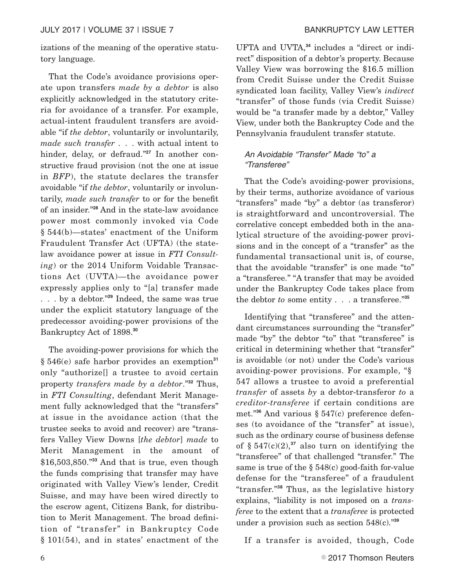izations of the meaning of the operative statutory language.

That the Code's avoidance provisions operate upon transfers *made by a debtor* is also explicitly acknowledged in the statutory criteria for avoidance of a transfer. For example, actual-intent fraudulent transfers are avoidable "if *the debtor*, voluntarily or involuntarily, *made such transfer* . . . with actual intent to hinder, delay, or defraud."<sup>27</sup> In another constructive fraud provision (not the one at issue in *BFP*), the statute declares the transfer avoidable "if *the debtor*, voluntarily or involuntarily, *made such transfer* to or for the benefit of an insider."**<sup>28</sup>** And in the state-law avoidance power most commonly invoked via Code § 544(b)—states' enactment of the Uniform Fraudulent Transfer Act (UFTA) (the statelaw avoidance power at issue in *FTI Consulting*) or the 2014 Uniform Voidable Transactions Act (UVTA)—the avoidance power expressly applies only to "[a] transfer made . . . by a debtor."**<sup>29</sup>** Indeed, the same was true under the explicit statutory language of the predecessor avoiding-power provisions of the Bankruptcy Act of 1898.**<sup>30</sup>**

The avoiding-power provisions for which the § 546(e) safe harbor provides an exemption**<sup>31</sup>** only "authorize[] a trustee to avoid certain property *transfers made by a debtor*."**<sup>32</sup>** Thus, in *FTI Consulting*, defendant Merit Management fully acknowledged that the "transfers" at issue in the avoidance action (that the trustee seeks to avoid and recover) are "transfers Valley View Downs [*the debtor*] *made* to Merit Management in the amount of \$16,503,850."**<sup>33</sup>** And that is true, even though the funds comprising that transfer may have originated with Valley View's lender, Credit Suisse, and may have been wired directly to the escrow agent, Citizens Bank, for distribution to Merit Management. The broad definition of "transfer" in Bankruptcy Code § 101(54), and in states' enactment of the

UFTA and UVTA,**<sup>34</sup>** includes a "direct or indirect" disposition of a debtor's property. Because Valley View was borrowing the \$16.5 million from Credit Suisse under the Credit Suisse syndicated loan facility, Valley View's *indirect* "transfer" of those funds (via Credit Suisse) would be "a transfer made by a debtor," Valley View, under both the Bankruptcy Code and the Pennsylvania fraudulent transfer statute.

#### An Avoidable "Transfer" Made "to" a "Transferee"

That the Code's avoiding-power provisions, by their terms, authorize avoidance of various "transfers" made "by" a debtor (as transferor) is straightforward and uncontroversial. The correlative concept embedded both in the analytical structure of the avoiding-power provisions and in the concept of a "transfer" as the fundamental transactional unit is, of course, that the avoidable "transfer" is one made "to" a "transferee." "A transfer that may be avoided under the Bankruptcy Code takes place from the debtor *to* some entity . . . a transferee."**<sup>35</sup>**

Identifying that "transferee" and the attendant circumstances surrounding the "transfer" made "by" the debtor "to" that "transferee" is critical in determining whether that "transfer" is avoidable (or not) under the Code's various avoiding-power provisions. For example, "§ 547 allows a trustee to avoid a preferential *transfer* of assets *by* a debtor-transferor *to* a *creditor-transferee* if certain conditions are met."**<sup>36</sup>** And various § 547(c) preference defenses (to avoidance of the "transfer" at issue), such as the ordinary course of business defense of  $\S$  547(c)(2),<sup>37</sup> also turn on identifying the "transferee" of that challenged "transfer." The same is true of the § 548(c) good-faith for-value defense for the "transferee" of a fraudulent "transfer."**<sup>38</sup>** Thus, as the legislative history explains, "liability is not imposed on a *transferee* to the extent that a *transferee* is protected under a provision such as section 548(c)."**<sup>39</sup>**

If a transfer is avoided, though, Code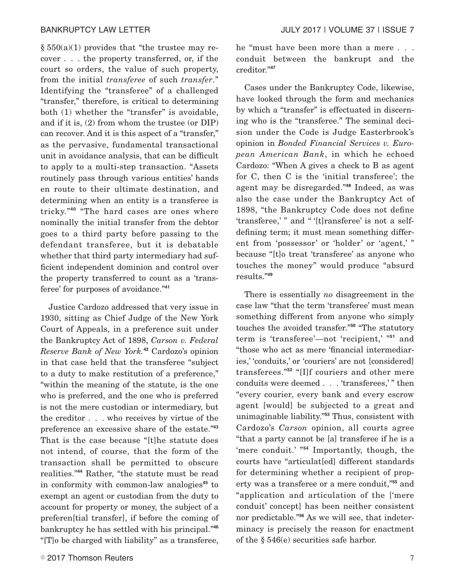$\S 550(a)(1)$  provides that "the trustee may recover . . . the property transferred, or, if the court so orders, the value of such property, from the initial *transferee* of such *transfer*." Identifying the "transferee" of a challenged "transfer," therefore, is critical to determining both (1) whether the "transfer" is avoidable, and if it is, (2) from whom the trustee (or DIP) can recover. And it is this aspect of a "transfer," as the pervasive, fundamental transactional unit in avoidance analysis, that can be difficult to apply to a multi-step transaction. "Assets routinely pass through various entities' hands en route to their ultimate destination, and determining when an entity is a transferee is tricky."**<sup>40</sup>** "The hard cases are ones where nominally the initial transfer from the debtor goes to a third party before passing to the defendant transferee, but it is debatable whether that third party intermediary had sufficient independent dominion and control over the property transferred to count as a 'transferee' for purposes of avoidance."**<sup>41</sup>**

Justice Cardozo addressed that very issue in 1930, sitting as Chief Judge of the New York Court of Appeals, in a preference suit under the Bankruptcy Act of 1898, *Carson v. Federal Reserve Bank of New York.***<sup>42</sup>** Cardozo's opinion in that case held that the transferee "subject to a duty to make restitution of a preference," "within the meaning of the statute, is the one who is preferred, and the one who is preferred is not the mere custodian or intermediary, but the creditor . . . who receives by virtue of the preference an excessive share of the estate."**<sup>43</sup>** That is the case because "[t]he statute does not intend, of course, that the form of the transaction shall be permitted to obscure realities."**<sup>44</sup>** Rather, "the statute must be read in conformity with common-law analogies**<sup>45</sup>** to exempt an agent or custodian from the duty to account for property or money, the subject of a preferen[tial transfer], if before the coming of bankruptcy he has settled with his principal."**<sup>46</sup>** "[T]o be charged with liability" as a transferee,

he "must have been more than a mere . . . conduit between the bankrupt and the creditor."**<sup>47</sup>**

Cases under the Bankruptcy Code, likewise, have looked through the form and mechanics by which a "transfer" is effectuated in discerning who is the "transferee." The seminal decision under the Code is Judge Easterbrook's opinion in *Bonded Financial Services v. European American Bank*, in which he echoed Cardozo: "When A gives a check to B as agent for C, then C is the 'initial transferee'; the agent may be disregarded."**<sup>48</sup>** Indeed, as was also the case under the Bankruptcy Act of 1898, "the Bankruptcy Code does not define 'transferee,' " and '' '[t]ransferee' is not a selfdefining term; it must mean something different from 'possessor' or 'holder' or 'agent,' " because "[t]o treat 'transferee' as anyone who touches the money" would produce "absurd results."**<sup>49</sup>**

There is essentially *no* disagreement in the case law "that the term 'transferee' must mean something different from anyone who simply touches the avoided transfer."**<sup>50</sup>** "The statutory term is 'transferee'—not 'recipient,' "**<sup>51</sup>** and "those who act as mere 'financial intermediaries,' 'conduits,' or 'couriers' are not [considered] transferees."**<sup>52</sup>** "[I]f couriers and other mere conduits were deemed . . . 'transferees,'" then "every courier, every bank and every escrow agent [would] be subjected to a great and unimaginable liability."**<sup>53</sup>** Thus, consistent with Cardozo's *Carson* opinion, all courts agree "that a party cannot be [a] transferee if he is a 'mere conduit.' "**<sup>54</sup>** Importantly, though, the courts have "articulat[ed] different standards for determining whether a recipient of property was a transferee or a mere conduit,"**<sup>55</sup>** and "application and articulation of the ['mere conduit' concept] has been neither consistent nor predictable."**<sup>56</sup>** As we will see, that indeterminacy is precisely the reason for enactment of the § 546(e) securities safe harbor.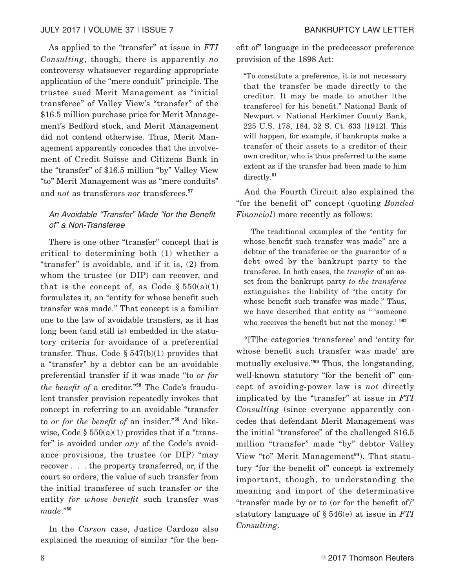#### JULY 2017 | VOLUME 37 | ISSUE 7 BANKRUPTCY LAW LETTER

As applied to the "transfer" at issue in *FTI Consulting*, though, there is apparently *no* controversy whatsoever regarding appropriate application of the "mere conduit" principle. The trustee sued Merit Management as "initial transferee" of Valley View's "transfer" of the \$16.5 million purchase price for Merit Management's Bedford stock, and Merit Management did not contend otherwise. Thus, Merit Management apparently concedes that the involvement of Credit Suisse and Citizens Bank in the "transfer" of \$16.5 million "by" Valley View "to" Merit Management was as "mere conduits" and *not* as transferors *nor* transferees.**<sup>57</sup>**

#### An Avoidable "Transfer" Made "for the Benefit of" a Non-Transferee

There is one other "transfer" concept that is critical to determining both (1) whether a "transfer" is avoidable, and if it is, (2) from whom the trustee (or DIP) can recover, and that is the concept of, as Code  $\S 550(a)(1)$ formulates it, an "entity for whose benefit such transfer was made." That concept is a familiar one to the law of avoidable transfers, as it has long been (and still is) embedded in the statutory criteria for avoidance of a preferential transfer. Thus, Code  $\S 547(b)(1)$  provides that a "transfer" by a debtor can be an avoidable preferential transfer if it was made "to *or for the benefit of* a creditor."**<sup>58</sup>** The Code's fraudulent transfer provision repeatedly invokes that concept in referring to an avoidable "transfer to *or for the benefit of* an insider."**<sup>59</sup>** And likewise, Code  $\S 550(a)(1)$  provides that if a "transfer" is avoided under *any* of the Code's avoidance provisions, the trustee (or DIP) "may recover . . . the property transferred, or, if the court so orders, the value of such transfer from the initial transferee of such transfer *or* the entity *for whose benefit* such transfer was *made*."**<sup>60</sup>**

In the *Carson* case, Justice Cardozo also explained the meaning of similar "for the benefit of" language in the predecessor preference provision of the 1898 Act:

"To constitute a preference, it is not necessary that the transfer be made directly to the creditor. It may be made to another [the transferee] for his benefit." National Bank of Newport v. National Herkimer County Bank, 225 U.S. 178, 184, 32 S. Ct. 633 [1912]. This will happen, for example, if bankrupts make a transfer of their assets to a creditor of their own creditor, who is thus preferred to the same extent as if the transfer had been made to him directly.**<sup>61</sup>**

And the Fourth Circuit also explained the "for the benefit of" concept (quoting *Bonded Financial*) more recently as follows:

The traditional examples of the "entity for whose benefit such transfer was made" are a debtor of the transferee or the guarantor of a debt owed by the bankrupt party to the transferee. In both cases, the *transfer* of an asset from the bankrupt party *to the transferee* extinguishes the liability of "the entity for whose benefit such transfer was made." Thus, we have described that entity as '' 'someone who receives the benefit but not the money.' "**<sup>62</sup>**

"[T]he categories 'transferee' and 'entity for whose benefit such transfer was made' are mutually exclusive."**<sup>63</sup>** Thus, the longstanding, well-known statutory "for the benefit of" concept of avoiding-power law is *not* directly implicated by the "transfer" at issue in *FTI Consulting* (since everyone apparently concedes that defendant Merit Management was the initial "transferee" of the challenged \$16.5 million "transfer" made "by" debtor Valley View "to" Merit Management**64**). That statutory "for the benefit of" concept is extremely important, though, to understanding the meaning and import of the determinative "transfer made by or to (or for the benefit of)" statutory language of § 546(e) at issue in *FTI Consulting*.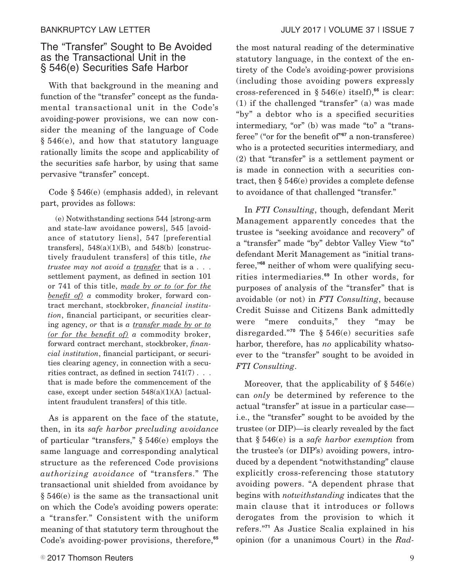# The "Transfer" Sought to Be Avoided as the Transactional Unit in the § 546(e) Securities Safe Harbor

With that background in the meaning and function of the "transfer" concept as the fundamental transactional unit in the Code's avoiding-power provisions, we can now consider the meaning of the language of Code § 546(e), and how that statutory language rationally limits the scope and applicability of the securities safe harbor, by using that same pervasive "transfer" concept.

Code § 546(e) (emphasis added), in relevant part, provides as follows:

(e) Notwithstanding sections 544 [strong-arm and state-law avoidance powers], 545 [avoidance of statutory liens], 547 [preferential transfers],  $548(a)(1)(B)$ , and  $548(b)$  [constructively fraudulent transfers] of this title, *the trustee may not avoid a transfer* that is a . . . settlement payment, as defined in section 101 or 741 of this title, *made by or to (or for the benefit of) a* commodity broker, forward contract merchant, stockbroker, *financial institution*, financial participant, or securities clearing agency, *or* that is *a transfer made by or to (or for the benefit of) a* commodity broker, forward contract merchant, stockbroker, *financial institution*, financial participant, or securities clearing agency, in connection with a securities contract, as defined in section  $741(7)$ ... that is made before the commencement of the case, except under section  $548(a)(1)(A)$  [actualintent fraudulent transfers] of this title.

As is apparent on the face of the statute, then, in its *safe harbor precluding avoidance* of particular "transfers," § 546(e) employs the same language and corresponding analytical structure as the referenced Code provisions *authorizing avoidance* of "transfers." The transactional unit shielded from avoidance by § 546(e) is the same as the transactional unit on which the Code's avoiding powers operate: a "transfer." Consistent with the uniform meaning of that statutory term throughout the Code's avoiding-power provisions, therefore,**<sup>65</sup>**

the most natural reading of the determinative statutory language, in the context of the entirety of the Code's avoiding-power provisions (including those avoiding powers expressly cross-referenced in § 546(e) itself),**<sup>66</sup>** is clear: (1) if the challenged "transfer" (a) was made "by" a debtor who is a specified securities intermediary, "or" (b) was made "to" a "transferee" ("or for the benefit of"**<sup>67</sup>** a non-transferee) who is a protected securities intermediary, and (2) that "transfer" is a settlement payment or is made in connection with a securities contract, then § 546(e) provides a complete defense to avoidance of that challenged "transfer."

In *FTI Consulting*, though, defendant Merit Management apparently concedes that the trustee is "seeking avoidance and recovery" of a "transfer" made "by" debtor Valley View "to" defendant Merit Management as "initial transferee,"**<sup>68</sup>** neither of whom were qualifying securities intermediaries.**<sup>69</sup>** In other words, for purposes of analysis of the "transfer" that is avoidable (or not) in *FTI Consulting*, because Credit Suisse and Citizens Bank admittedly were "mere conduits," they "may be disregarded."**<sup>70</sup>** The § 546(e) securities safe harbor, therefore, has *no* applicability whatsoever to the "transfer" sought to be avoided in *FTI Consulting*.

Moreover, that the applicability of  $\S 546(e)$ can *only* be determined by reference to the actual "transfer" at issue in a particular case i.e., the "transfer" sought to be avoided by the trustee (or DIP)—is clearly revealed by the fact that § 546(e) is a *safe harbor exemption* from the trustee's (or DIP's) avoiding powers, introduced by a dependent "notwithstanding" clause explicitly cross-referencing those statutory avoiding powers. "A dependent phrase that begins with *notwithstanding* indicates that the main clause that it introduces or follows derogates from the provision to which it refers."**<sup>71</sup>** As Justice Scalia explained in his opinion (for a unanimous Court) in the *Rad-*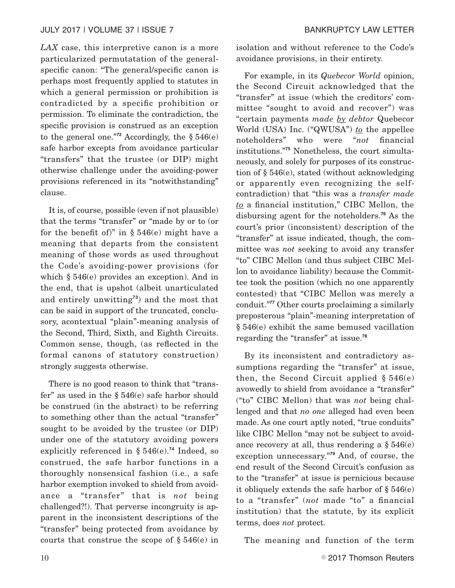*LAX* case, this interpretive canon is a more particularized permutatation of the generalspecific canon: "The general/specific canon is perhaps most frequently applied to statutes in which a general permission or prohibition is contradicted by a specific prohibition or permission. To eliminate the contradiction, the specific provision is construed as an exception to the general one."<sup>72</sup> Accordingly, the  $§ 546(e)$ safe harbor excepts from avoidance particular "transfers" that the trustee (or DIP) might otherwise challenge under the avoiding-power provisions referenced in its "notwithstanding" clause.

It is, of course, possible (even if not plausible) that the terms "transfer" or "made by or to (or for the benefit of)" in  $\S 546(e)$  might have a meaning that departs from the consistent meaning of those words as used throughout the Code's avoiding-power provisions (for which § 546(e) provides an exception). And in the end, that is upshot (albeit unarticulated and entirely unwitting**<sup>73</sup>**) and the most that can be said in support of the truncated, conclusory, acontextual "plain"-meaning analysis of the Second, Third, Sixth, and Eighth Circuits. Common sense, though, (as reflected in the formal canons of statutory construction) strongly suggests otherwise.

There is no good reason to think that "transfer" as used in the § 546(e) safe harbor should be construed (in the abstract) to be referring to something other than the actual "transfer" sought to be avoided by the trustee (or DIP) under one of the statutory avoiding powers explicitly referenced in § 546(e).**<sup>74</sup>** Indeed, so construed, the safe harbor functions in a thoroughly nonsensical fashion (i.e., a safe harbor exemption invoked to shield from avoidance a "transfer" that is *not* being challenged?!). That perverse incongruity is apparent in the inconsistent descriptions of the "transfer" being protected from avoidance by courts that construe the scope of § 546(e) in isolation and without reference to the Code's avoidance provisions, in their entirety.

For example, in its *Quebecor World* opinion, the Second Circuit acknowledged that the "transfer" at issue (which the creditors' committee "sought to avoid and recover") was "certain payments *made by debtor* Quebecor World (USA) Inc. ("QWUSA") *to* the appellee noteholders" who were "*not* financial institutions."**<sup>75</sup>** Nonetheless, the court simultaneously, and solely for purposes of its construction of § 546(e), stated (without acknowledging or apparently even recognizing the selfcontradiction) that "this was a *transfer made to* a financial institution," CIBC Mellon, the disbursing agent for the noteholders.**<sup>76</sup>** As the court's prior (inconsistent) description of the "transfer" at issue indicated, though, the committee was *not* seeking to avoid any transfer "to" CIBC Mellon (and thus subject CIBC Mellon to avoidance liability) because the Committee took the position (which no one apparently contested) that "CIBC Mellon was merely a conduit."**<sup>77</sup>** Other courts proclaiming a similarly preposterous "plain"-meaning interpretation of § 546(e) exhibit the same bemused vacillation regarding the "transfer" at issue.**<sup>78</sup>**

By its inconsistent and contradictory assumptions regarding the "transfer" at issue, then, the Second Circuit applied  $\S 546(e)$ avowedly to shield from avoidance a "transfer" ("to" CIBC Mellon) that was *not* being challenged and that *no one* alleged had even been made. As one court aptly noted, "true conduits" like CIBC Mellon "may not be subject to avoidance recovery at all, thus rendering a  $\S 546(e)$ exception unnecessary."**<sup>79</sup>** And, of course, the end result of the Second Circuit's confusion as to the "transfer" at issue is pernicious because it obliquely extends the safe harbor of  $\S 546(e)$ to a "transfer" (*not* made "to" a financial institution) that the statute, by its explicit terms, does *not* protect.

The meaning and function of the term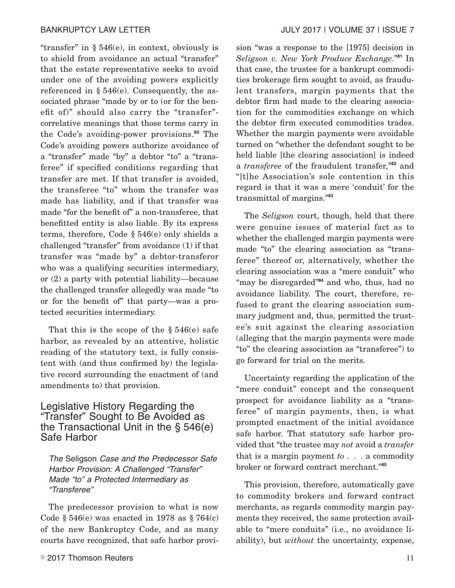"transfer" in § 546(e), in context, obviously is to shield from avoidance an actual "transfer" that the estate representative seeks to avoid under one of the avoiding powers explicitly referenced in § 546(e). Consequently, the associated phrase "made by or to (or for the benefit of)" should also carry the "transfer" correlative meanings that those terms carry in the Code's avoiding-power provisions.**<sup>80</sup>** The Code's avoiding powers authorize avoidance of a "transfer" made "by" a debtor "to" a "transferee" if specified conditions regarding that transfer are met. If that transfer is avoided, the transferee "to" whom the transfer was made has liability, and if that transfer was made "for the benefit of" a non-transferee, that benefitted entity is also liable. By its express terms, therefore, Code § 546(e) only shields a challenged "transfer" from avoidance (1) if that transfer was "made by" a debtor-transferor who was a qualifying securities intermediary, or (2) a party with potential liability—because the challenged transfer allegedly was made "to or for the benefit of" that party—was a protected securities intermediary.

That this is the scope of the  $\S 546(e)$  safe harbor, as revealed by an attentive, holistic reading of the statutory text, is fully consistent with (and thus confirmed by) the legislative record surrounding the enactment of (and amendments to) that provision.

# Legislative History Regarding the "Transfer" Sought to Be Avoided as the Transactional Unit in the § 546(e) Safe Harbor

The Seligson Case and the Predecessor Safe Harbor Provision: A Challenged "Transfer" Made "to" a Protected Intermediary as "Transferee"

The predecessor provision to what is now Code  $\S 546(e)$  was enacted in 1978 as  $\S 764(c)$ of the new Bankruptcy Code, and as many courts have recognized, that safe harbor provision "was a response to the [1975] decision in *Seligson v. New York Produce Exchange*."**<sup>81</sup>** In that case, the trustee for a bankrupt commodities brokerage firm sought to avoid, as fraudulent transfers, margin payments that the debtor firm had made to the clearing association for the commodities exchange on which the debtor firm executed commodities trades. Whether the margin payments were avoidable turned on "whether the defendant sought to be held liable [the clearing association] is indeed a *transferee* of the fraudulent transfer,"**<sup>82</sup>** and "[t]he Association's sole contention in this regard is that it was a mere 'conduit' for the transmittal of margins."**<sup>83</sup>**

The *Seligson* court, though, held that there were genuine issues of material fact as to whether the challenged margin payments were made "to" the clearing association as "transferee" thereof or, alternatively, whether the clearing association was a "mere conduit" who "may be disregarded"**<sup>84</sup>** and who, thus, had no avoidance liability. The court, therefore, refused to grant the clearing association summary judgment and, thus, permitted the trustee's suit against the clearing association (alleging that the margin payments were made "to" the clearing association as "transferee") to go forward for trial on the merits.

Uncertainty regarding the application of the "mere conduit" concept and the consequent prospect for avoidance liability as a "transferee" of margin payments, then, is what prompted enactment of the initial avoidance safe harbor. That statutory safe harbor provided that "the trustee may *not* avoid a *transfer* that is a margin payment *to* . . . a commodity broker or forward contract merchant."**<sup>85</sup>**

This provision, therefore, automatically gave to commodity brokers and forward contract merchants, as regards commodity margin payments they received, the same protection available to "mere conduits" (i.e., no avoidance liability), but *without* the uncertainty, expense,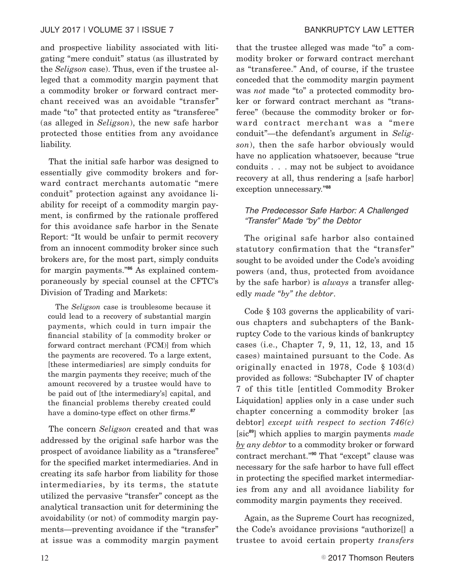and prospective liability associated with litigating "mere conduit" status (as illustrated by the *Seligson* case). Thus, even if the trustee alleged that a commodity margin payment that a commodity broker or forward contract merchant received was an avoidable "transfer" made "to" that protected entity as "transferee" (as alleged in *Seligson*), the new safe harbor protected those entities from any avoidance liability.

That the initial safe harbor was designed to essentially give commodity brokers and forward contract merchants automatic "mere conduit" protection against any avoidance liability for receipt of a commodity margin payment, is confirmed by the rationale proffered for this avoidance safe harbor in the Senate Report: "It would be unfair to permit recovery from an innocent commodity broker since such brokers are, for the most part, simply conduits for margin payments."**<sup>86</sup>** As explained contemporaneously by special counsel at the CFTC's Division of Trading and Markets:

The *Seligson* case is troublesome because it could lead to a recovery of substantial margin payments, which could in turn impair the financial stability of [a commodity broker or forward contract merchant (FCM)] from which the payments are recovered. To a large extent, [these intermediaries] are simply conduits for the margin payments they receive; much of the amount recovered by a trustee would have to be paid out of [the intermediary's] capital, and the financial problems thereby created could have a domino-type effect on other firms.**<sup>87</sup>**

The concern *Seligson* created and that was addressed by the original safe harbor was the prospect of avoidance liability as a "transferee" for the specified market intermediaries. And in creating its safe harbor from liability for those intermediaries, by its terms, the statute utilized the pervasive "transfer" concept as the analytical transaction unit for determining the avoidability (or not) of commodity margin payments—preventing avoidance if the "transfer" at issue was a commodity margin payment that the trustee alleged was made "to" a commodity broker or forward contract merchant as "transferee." And, of course, if the trustee conceded that the commodity margin payment was *not* made "to" a protected commodity broker or forward contract merchant as "transferee" (because the commodity broker or forward contract merchant was a "mere conduit"—the defendant's argument in *Seligson*), then the safe harbor obviously would have no application whatsoever, because "true conduits . . . may not be subject to avoidance recovery at all, thus rendering a [safe harbor] exception unnecessary."**<sup>88</sup>**

#### The Predecessor Safe Harbor: A Challenged "Transfer" Made "by" the Debtor

The original safe harbor also contained statutory confirmation that the "transfer" sought to be avoided under the Code's avoiding powers (and, thus, protected from avoidance by the safe harbor) is *always* a transfer allegedly *made "by" the debtor*.

Code § 103 governs the applicability of various chapters and subchapters of the Bankruptcy Code to the various kinds of bankruptcy cases (i.e., Chapter 7, 9, 11, 12, 13, and 15 cases) maintained pursuant to the Code. As originally enacted in 1978, Code § 103(d) provided as follows: "Subchapter IV of chapter 7 of this title [entitled Commodity Broker Liquidation] applies only in a case under such chapter concerning a commodity broker [as debtor] *except with respect to section 746(c)* [sic**<sup>89</sup>**] which applies to margin payments *made by any debtor* to a commodity broker or forward contract merchant."**<sup>90</sup>** That "except" clause was necessary for the safe harbor to have full effect in protecting the specified market intermediaries from any and all avoidance liability for commodity margin payments they received.

Again, as the Supreme Court has recognized, the Code's avoidance provisions "authorize[] a trustee to avoid certain property *transfers*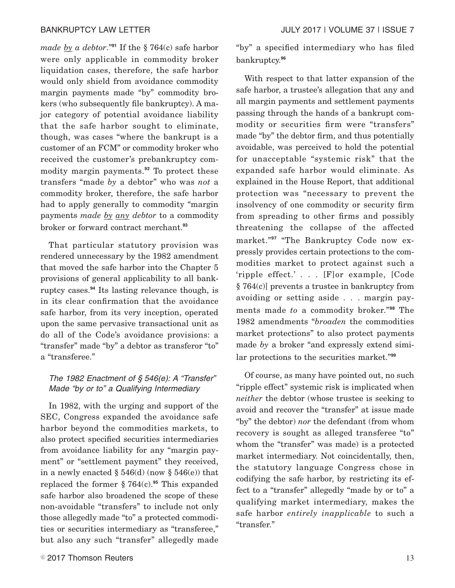*made by a debtor*."**<sup>91</sup>** If the § 764(c) safe harbor were only applicable in commodity broker liquidation cases, therefore, the safe harbor would only shield from avoidance commodity margin payments made "by" commodity brokers (who subsequently file bankruptcy). A major category of potential avoidance liability that the safe harbor sought to eliminate, though, was cases "where the bankrupt is a customer of an FCM" or commodity broker who received the customer's prebankruptcy commodity margin payments.**<sup>92</sup>** To protect these transfers "made *by* a debtor" who was *not* a commodity broker, therefore, the safe harbor had to apply generally to commodity "margin payments *made by any debtor* to a commodity broker or forward contract merchant.**<sup>93</sup>**

That particular statutory provision was rendered unnecessary by the 1982 amendment that moved the safe harbor into the Chapter 5 provisions of general applicability to all bankruptcy cases.**<sup>94</sup>** Its lasting relevance though, is in its clear confirmation that the avoidance safe harbor, from its very inception, operated upon the same pervasive transactional unit as do all of the Code's avoidance provisions: a "transfer" made "by" a debtor as transferor "to" a "transferee."

#### The 1982 Enactment of § 546(e): A "Transfer" Made "by or to" a Qualifying Intermediary

In 1982, with the urging and support of the SEC, Congress expanded the avoidance safe harbor beyond the commodities markets, to also protect specified securities intermediaries from avoidance liability for any "margin payment" or "settlement payment" they received, in a newly enacted  $\S 546$ (d) (now  $\S 546$ (e)) that replaced the former  $\S 764(c).$ <sup>95</sup> This expanded safe harbor also broadened the scope of these non-avoidable "transfers" to include not only those allegedly made "to" a protected commodities or securities intermediary as "transferee," but also any such "transfer" allegedly made "by" a specified intermediary who has filed bankruptcy.**<sup>96</sup>**

With respect to that latter expansion of the safe harbor, a trustee's allegation that any and all margin payments and settlement payments passing through the hands of a bankrupt commodity or securities firm were "transfers" made "by" the debtor firm, and thus potentially avoidable, was perceived to hold the potential for unacceptable "systemic risk" that the expanded safe harbor would eliminate. As explained in the House Report, that additional protection was "necessary to prevent the insolvency of one commodity or security firm from spreading to other firms and possibly threatening the collapse of the affected market."**<sup>97</sup>** "The Bankruptcy Code now expressly provides certain protections to the commodities market to protect against such a 'ripple effect.' . . . [F]or example, [Code § 764(c)] prevents a trustee in bankruptcy from avoiding or setting aside . . . margin payments made *to* a commodity broker."**<sup>98</sup>** The 1982 amendments "*broaden* the commodities market protections" to also protect payments made *by* a broker "and expressly extend similar protections to the securities market."**<sup>99</sup>**

Of course, as many have pointed out, no such "ripple effect" systemic risk is implicated when *neither* the debtor (whose trustee is seeking to avoid and recover the "transfer" at issue made "by" the debtor) *nor* the defendant (from whom recovery is sought as alleged transferee "to" whom the "transfer" was made) is a protected market intermediary. Not coincidentally, then, the statutory language Congress chose in codifying the safe harbor, by restricting its effect to a "transfer" allegedly "made by or to" a qualifying market intermediary, makes the safe harbor *entirely inapplicable* to such a "transfer."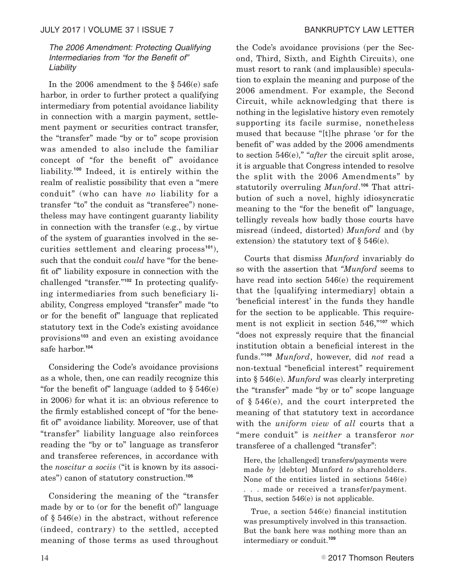#### The 2006 Amendment: Protecting Qualifying Intermediaries from "for the Benefit of" Liability

In the 2006 amendment to the § 546(e) safe harbor, in order to further protect a qualifying intermediary from potential avoidance liability in connection with a margin payment, settlement payment or securities contract transfer, the "transfer" made "by or to" scope provision was amended to also include the familiar concept of "for the benefit of" avoidance liability.**<sup>100</sup>** Indeed, it is entirely within the realm of realistic possibility that even a "mere conduit" (who can have *no* liability for a transfer "to" the conduit as "transferee") nonetheless may have contingent guaranty liability in connection with the transfer (e.g., by virtue of the system of guaranties involved in the securities settlement and clearing process**<sup>101</sup>**), such that the conduit *could* have "for the benefit of" liability exposure in connection with the challenged "transfer."**<sup>102</sup>** In protecting qualifying intermediaries from such beneficiary liability, Congress employed "transfer" made "to or for the benefit of" language that replicated statutory text in the Code's existing avoidance provisions**<sup>103</sup>** and even an existing avoidance safe harbor.**<sup>104</sup>**

Considering the Code's avoidance provisions as a whole, then, one can readily recognize this "for the benefit of" language (added to  $\S 546(e)$ in 2006) for what it is: an obvious reference to the firmly established concept of "for the benefit of" avoidance liability. Moreover, use of that "transfer" liability language also reinforces reading the "by or to" language as transferor and transferee references, in accordance with the *noscitur a sociis* ("it is known by its associates") canon of statutory construction.**<sup>105</sup>**

Considering the meaning of the "transfer made by or to (or for the benefit of)" language of § 546(e) in the abstract, without reference (indeed, contrary) to the settled, accepted meaning of those terms as used throughout the Code's avoidance provisions (per the Second, Third, Sixth, and Eighth Circuits), one must resort to rank (and implausible) speculation to explain the meaning and purpose of the 2006 amendment. For example, the Second Circuit, while acknowledging that there is nothing in the legislative history even remotely supporting its facile surmise, nonetheless mused that because "[t]he phrase 'or for the benefit of' was added by the 2006 amendments to section 546(e)," "*after* the circuit split arose, it is arguable that Congress intended to resolve the split with the 2006 Amendments" by statutorily overruling *Munford*. **<sup>106</sup>** That attribution of such a novel, highly idiosyncratic meaning to the "for the benefit of" language, tellingly reveals how badly those courts have misread (indeed, distorted) *Munford* and (by extension) the statutory text of § 546(e).

Courts that dismiss *Munford* invariably do so with the assertion that *"Munford* seems to have read into section 546(e) the requirement that the [qualifying intermediary] obtain a 'beneficial interest' in the funds they handle for the section to be applicable. This requirement is not explicit in section 546,"**<sup>107</sup>** which "does not expressly require that the financial institution obtain a beneficial interest in the funds."**<sup>108</sup>** *Munford*, however, did *not* read a non-textual "beneficial interest" requirement into § 546(e). *Munford* was clearly interpreting the "transfer" made "by or to" scope language of § 546(e), and the court interpreted the meaning of that statutory text in accordance with the *uniform view* of *all* courts that a "mere conduit" is *neither* a transferor *nor* transferee of a challenged "transfer":

Here, the [challenged] transfers/payments were made *by* [debtor] Munford *to* shareholders. None of the entities listed in sections 546(e) . . . made or received a transfer/payment. Thus, section 546(e) is not applicable.

True, a section 546(e) financial institution was presumptively involved in this transaction. But the bank here was nothing more than an intermediary or conduit.**<sup>109</sup>**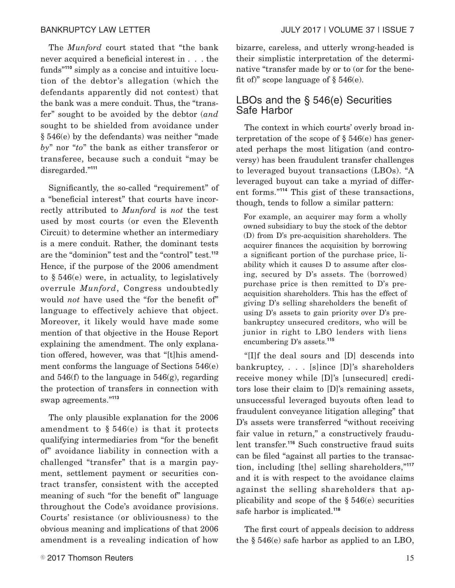The *Munford* court stated that "the bank never acquired a beneficial interest in . . . the funds"**<sup>110</sup>** simply as a concise and intuitive locution of the debtor's allegation (which the defendants apparently did not contest) that the bank was a mere conduit. Thus, the "transfer" sought to be avoided by the debtor (*and* sought to be shielded from avoidance under § 546(e) by the defendants) was neither "made *by*" nor "*to*" the bank as either transferor or transferee, because such a conduit "may be disregarded."**<sup>111</sup>**

Significantly, the so-called "requirement" of a "beneficial interest" that courts have incorrectly attributed to *Munford* is *not* the test used by most courts (or even the Eleventh Circuit) to determine whether an intermediary is a mere conduit. Rather, the dominant tests are the "dominion" test and the "control" test.**<sup>112</sup>** Hence, if the purpose of the 2006 amendment to § 546(e) were, in actuality, to legislatively overrule *Munford*, Congress undoubtedly would *not* have used the "for the benefit of" language to effectively achieve that object. Moreover, it likely would have made some mention of that objective in the House Report explaining the amendment. The only explanation offered, however, was that "[t]his amendment conforms the language of Sections 546(e) and 546(f) to the language in 546(g), regarding the protection of transfers in connection with swap agreements."**<sup>113</sup>**

The only plausible explanation for the 2006 amendment to  $\S 546(e)$  is that it protects qualifying intermediaries from "for the benefit of" avoidance liability in connection with a challenged "transfer" that is a margin payment, settlement payment or securities contract transfer, consistent with the accepted meaning of such "for the benefit of" language throughout the Code's avoidance provisions. Courts' resistance (or obliviousness) to the obvious meaning and implications of that 2006 amendment is a revealing indication of how bizarre, careless, and utterly wrong-headed is their simplistic interpretation of the determinative "transfer made by or to (or for the benefit of)" scope language of  $\S 546(e)$ .

# LBOs and the § 546(e) Securities Safe Harbor

The context in which courts' overly broad interpretation of the scope of  $\S 546(e)$  has generated perhaps the most litigation (and controversy) has been fraudulent transfer challenges to leveraged buyout transactions (LBOs). "A leveraged buyout can take a myriad of different forms."**<sup>114</sup>** This gist of these transactions, though, tends to follow a similar pattern:

For example, an acquirer may form a wholly owned subsidiary to buy the stock of the debtor (D) from D's pre-acquisition shareholders. The acquirer finances the acquisition by borrowing a significant portion of the purchase price, liability which it causes D to assume after closing, secured by D's assets. The (borrowed) purchase price is then remitted to D's preacquisition shareholders. This has the effect of giving D's selling shareholders the benefit of using D's assets to gain priority over D's prebankruptcy unsecured creditors, who will be junior in right to LBO lenders with liens encumbering D's assets.**<sup>115</sup>**

"[I]f the deal sours and [D] descends into bankruptcy, . . . [s]ince [D]'s shareholders receive money while [D]'s [unsecured] creditors lose their claim to [D]'s remaining assets, unsuccessful leveraged buyouts often lead to fraudulent conveyance litigation alleging" that D's assets were transferred "without receiving fair value in return," a constructively fraudulent transfer.**<sup>116</sup>** Such constructive fraud suits can be filed "against all parties to the transaction, including [the] selling shareholders,"**<sup>117</sup>** and it is with respect to the avoidance claims against the selling shareholders that applicability and scope of the  $\S 546(e)$  securities safe harbor is implicated.**<sup>118</sup>**

The first court of appeals decision to address the § 546(e) safe harbor as applied to an LBO,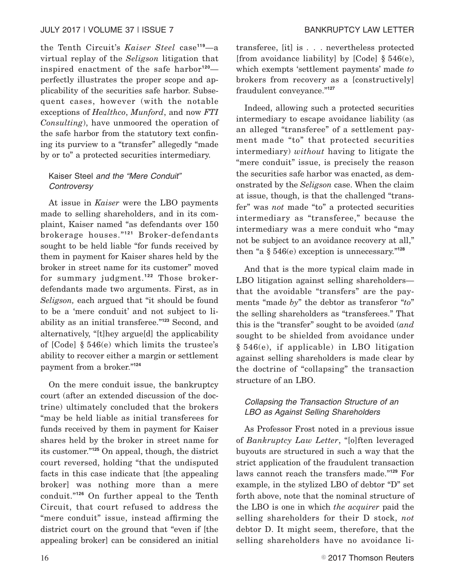the Tenth Circuit's *Kaiser Steel* case**<sup>119</sup>**—a virtual replay of the *Seligson* litigation that inspired enactment of the safe harbor**<sup>120</sup>** perfectly illustrates the proper scope and applicability of the securities safe harbor. Subsequent cases, however (with the notable exceptions of *Healthco*, *Munford*, and now *FTI Consulting*), have unmoored the operation of the safe harbor from the statutory text confining its purview to a "transfer" allegedly "made by or to" a protected securities intermediary.

## Kaiser Steel and the "Mere Conduit" **Controversy**

At issue in *Kaiser* were the LBO payments made to selling shareholders, and in its complaint, Kaiser named "as defendants over 150 brokerage houses."**<sup>121</sup>** Broker-defendants sought to be held liable "for funds received by them in payment for Kaiser shares held by the broker in street name for its customer" moved for summary judgment.**<sup>122</sup>** Those brokerdefendants made two arguments. First, as in *Seligson,* each argued that "it should be found to be a 'mere conduit' and not subject to liability as an initial transferee."**<sup>123</sup>** Second, and alternatively, "[t]hey argue[d] the applicability of [Code] § 546(e) which limits the trustee's ability to recover either a margin or settlement payment from a broker."**<sup>124</sup>**

On the mere conduit issue, the bankruptcy court (after an extended discussion of the doctrine) ultimately concluded that the brokers "may be held liable as initial transferees for funds received by them in payment for Kaiser shares held by the broker in street name for its customer."**<sup>125</sup>** On appeal, though, the district court reversed, holding "that the undisputed facts in this case indicate that [the appealing broker] was nothing more than a mere conduit."**<sup>126</sup>** On further appeal to the Tenth Circuit, that court refused to address the "mere conduit" issue, instead affirming the district court on the ground that "even if [the appealing broker] can be considered an initial transferee, [it] is . . . nevertheless protected [from avoidance liability] by  $[Code] \$  546 $(e)$ , which exempts 'settlement payments' made *to* brokers from recovery as a [constructively] fraudulent conveyance."**<sup>127</sup>**

Indeed, allowing such a protected securities intermediary to escape avoidance liability (as an alleged "transferee" of a settlement payment made "to" that protected securities intermediary) *without* having to litigate the "mere conduit" issue, is precisely the reason the securities safe harbor was enacted, as demonstrated by the *Seligson* case. When the claim at issue, though, is that the challenged "transfer" was *not* made "to" a protected securities intermediary as "transferee," because the intermediary was a mere conduit who "may not be subject to an avoidance recovery at all," then "a § 546(e) exception is unnecessary."**<sup>128</sup>**

And that is the more typical claim made in LBO litigation against selling shareholders that the avoidable "transfers" are the payments "made *by*" the debtor as transferor "*to*" the selling shareholders as "transferees." That this is the "transfer" sought to be avoided (*and* sought to be shielded from avoidance under § 546(e), if applicable) in LBO litigation against selling shareholders is made clear by the doctrine of "collapsing" the transaction structure of an LBO.

#### Collapsing the Transaction Structure of an LBO as Against Selling Shareholders

As Professor Frost noted in a previous issue of *Bankruptcy Law Letter*, "[o]ften leveraged buyouts are structured in such a way that the strict application of the fraudulent transaction laws cannot reach the transfers made."**<sup>129</sup>** For example, in the stylized LBO of debtor "D" set forth above, note that the nominal structure of the LBO is one in which *the acquirer* paid the selling shareholders for their D stock, *not* debtor D. It might seem, therefore, that the selling shareholders have no avoidance li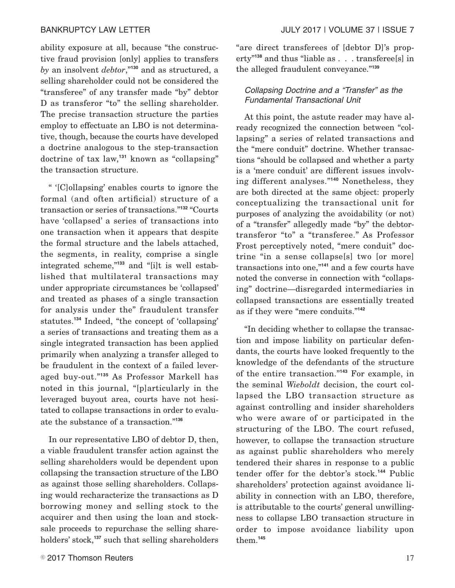ability exposure at all, because "the constructive fraud provision [only] applies to transfers *by* an insolvent *debtor*,"**<sup>130</sup>** and as structured, a selling shareholder could not be considered the "transferee" of any transfer made "by" debtor D as transferor "to" the selling shareholder. The precise transaction structure the parties employ to effectuate an LBO is not determinative, though, because the courts have developed a doctrine analogous to the step-transaction doctrine of tax law,**<sup>131</sup>** known as "collapsing" the transaction structure.

" '[C]ollapsing' enables courts to ignore the formal (and often artificial) structure of a transaction or series of transactions."**<sup>132</sup>** "Courts have 'collapsed' a series of transactions into one transaction when it appears that despite the formal structure and the labels attached, the segments, in reality, comprise a single integrated scheme,"**<sup>133</sup>** and "[i]t is well established that multilateral transactions may under appropriate circumstances be 'collapsed' and treated as phases of a single transaction for analysis under the" fraudulent transfer statutes.**<sup>134</sup>** Indeed, "the concept of 'collapsing' a series of transactions and treating them as a single integrated transaction has been applied primarily when analyzing a transfer alleged to be fraudulent in the context of a failed leveraged buy-out."**<sup>135</sup>** As Professor Markell has noted in this journal, "[p]articularly in the leveraged buyout area, courts have not hesitated to collapse transactions in order to evaluate the substance of a transaction."**<sup>136</sup>**

In our representative LBO of debtor D, then, a viable fraudulent transfer action against the selling shareholders would be dependent upon collapsing the transaction structure of the LBO as against those selling shareholders. Collapsing would recharacterize the transactions as D borrowing money and selling stock to the acquirer and then using the loan and stocksale proceeds to repurchase the selling shareholders' stock,**<sup>137</sup>** such that selling shareholders "are direct transferees of [debtor D]'s property"**<sup>138</sup>** and thus "liable as . . . transferee[s] in the alleged fraudulent conveyance."**<sup>139</sup>**

#### Collapsing Doctrine and a "Transfer" as the Fundamental Transactional Unit

At this point, the astute reader may have already recognized the connection between "collapsing" a series of related transactions and the "mere conduit" doctrine. Whether transactions "should be collapsed and whether a party is a 'mere conduit' are different issues involving different analyses."**<sup>140</sup>** Nonetheless, they are both directed at the same object: properly conceptualizing the transactional unit for purposes of analyzing the avoidability (or not) of a "transfer" allegedly made "by" the debtortransferor "to" a "transferee." As Professor Frost perceptively noted, "mere conduit" doctrine "in a sense collapse[s] two [or more] transactions into one,"**<sup>141</sup>** and a few courts have noted the converse in connection with "collapsing" doctrine—disregarded intermediaries in collapsed transactions are essentially treated as if they were "mere conduits."**<sup>142</sup>**

"In deciding whether to collapse the transaction and impose liability on particular defendants, the courts have looked frequently to the knowledge of the defendants of the structure of the entire transaction."**<sup>143</sup>** For example, in the seminal *Wieboldt* decision, the court collapsed the LBO transaction structure as against controlling and insider shareholders who were aware of or participated in the structuring of the LBO. The court refused, however, to collapse the transaction structure as against public shareholders who merely tendered their shares in response to a public tender offer for the debtor's stock.**<sup>144</sup>** Public shareholders' protection against avoidance liability in connection with an LBO, therefore, is attributable to the courts' general unwillingness to collapse LBO transaction structure in order to impose avoidance liability upon them.**<sup>145</sup>**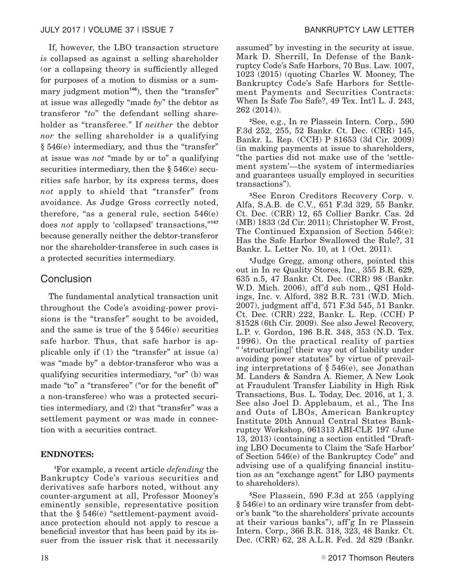If, however, the LBO transaction structure *is* collapsed as against a selling shareholder (or a collapsing theory is sufficiently alleged for purposes of a motion to dismiss or a summary judgment motion<sup>146</sup>), then the "transfer" at issue was allegedly "made *by*" the debtor as transferor "*to*" the defendant selling shareholder as "transferee." If *neither* the debtor *nor* the selling shareholder is a qualifying § 546(e) intermediary, and thus the "transfer" at issue was *not* "made by or to" a qualifying securities intermediary, then the § 546(e) securities safe harbor, by its express terms, does *not* apply to shield that "transfer" from avoidance. As Judge Gross correctly noted, therefore, "as a general rule, section 546(e) does *not* apply to 'collapsed' transactions,"**<sup>147</sup>** because generally neither the debtor-transferor nor the shareholder-transferee in such cases is a protected securities intermediary.

# Conclusion

The fundamental analytical transaction unit throughout the Code's avoiding-power provisions is the "transfer" sought to be avoided, and the same is true of the  $\S 546(e)$  securities safe harbor. Thus, that safe harbor is applicable only if  $(1)$  the "transfer" at issue  $(a)$ was "made by" a debtor-transferor who was a qualifying securities intermediary, "or" (b) was made "to" a "transferee" ("or for the benefit of" a non-transferee) who was a protected securities intermediary, and (2) that "transfer" was a settlement payment or was made in connection with a securities contract.

#### **ENDNOTES:**

**<sup>1</sup>**For example, a recent article *defending* the Bankruptcy Code's various securities and derivatives safe harbors noted, without any counter-argument at all, Professor Mooney's eminently sensible, representative position that the § 546(e) "settlement-payment avoidance protection should not apply to rescue a beneficial investor that has been paid by its issuer from the issuer risk that it necessarily

assumed" by investing in the security at issue. Mark D. Sherrill, In Defense of the Bankruptcy Code's Safe Harbors, 70 Bus. Law. 1007, 1023 (2015) (quoting Charles W. Mooney, The Bankruptcy Code's Safe Harbors for Settlement Payments and Securities Contracts: When Is Safe *Too* Safe?, 49 Tex. Int'l L. J. 243, 262 (2014)).

**<sup>2</sup>**See, e.g., In re Plassein Intern. Corp., 590 F.3d 252, 255, 52 Bankr. Ct. Dec. (CRR) 145, Bankr. L. Rep. (CCH) P 81653 (3d Cir. 2009) (in making payments at issue to shareholders, "the parties did not make use of the 'settlement system'—the system of intermediaries and guarantees usually employed in securities transactions").

**<sup>3</sup>**See Enron Creditors Recovery Corp. v. Alfa, S.A.B. de C.V., 651 F.3d 329, 55 Bankr. Ct. Dec. (CRR) 12, 65 Collier Bankr. Cas. 2d (MB) 1833 (2d Cir. 2011); Christopher W. Frost, The Continued Expansion of Section 546(e): Has the Safe Harbor Swallowed the Rule?, 31 Bankr. L. Letter No. 10, at 1 (Oct. 2011).

**<sup>4</sup>**Judge Gregg, among others, pointed this out in In re Quality Stores, Inc., 355 B.R. 629, 635 n.5, 47 Bankr. Ct. Dec. (CRR) 98 (Bankr. W.D. Mich. 2006), aff'd sub nom., QSI Holdings, Inc. v. Alford, 382 B.R. 731 (W.D. Mich. 2007), judgment aff'd, 571 F.3d 545, 51 Bankr. Ct. Dec. (CRR) 222, Bankr. L. Rep. (CCH) P 81528 (6th Cir. 2009). See also Jewel Recovery, L.P. v. Gordon, 196 B.R. 348, 353 (N.D. Tex. 1996). On the practical reality of parties '' 'structur[ing]' their way out of liability under avoiding power statutes" by virtue of prevailing interpretations of § 546(e), see Jonathan M. Landers & Sandra A. Riemer, A New Look at Fraudulent Transfer Liability in High Risk Transactions, Bus. L. Today, Dec. 2016, at 1, 3. See also Joel D. Applebaum, et al., The Ins and Outs of LBOs, American Bankruptcy Institute 20th Annual Central States Bankruptcy Workshop, 061313 ABI-CLE 197 (June 13, 2013) (containing a section entitled "Drafting LBO Documents to Claim the 'Safe Harbor' of Section 546(e) of the Bankruptcy Code" and advising use of a qualifying financial institution as an "exchange agent" for LBO payments to shareholders).

**<sup>5</sup>**See Plassein, 590 F.3d at 255 (applying § 546(e) to an ordinary wire transfer from debtor's bank "to the shareholders' private accounts at their various banks"), aff'g In re Plassein Intern. Corp., 366 B.R. 318, 323, 48 Bankr. Ct. Dec. (CRR) 62, 28 A.L.R. Fed. 2d 829 (Bankr.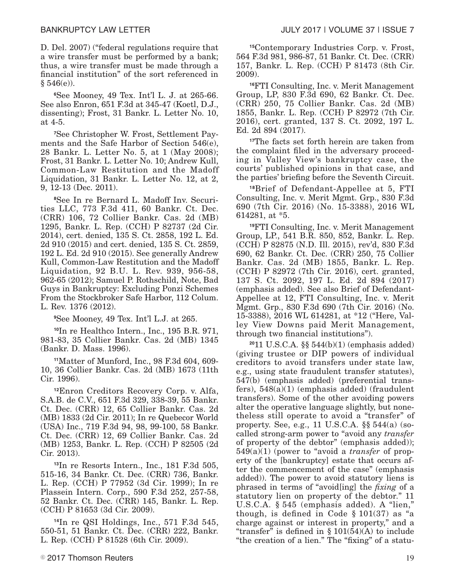D. Del. 2007) ("federal regulations require that a wire transfer must be performed by a bank; thus, a wire transfer must be made through a financial institution" of the sort referenced in  $§ 546(e).$ 

**<sup>6</sup>**See Mooney, 49 Tex. Int'l L. J. at 265-66. See also Enron, 651 F.3d at 345-47 (Koetl, D.J., dissenting); Frost, 31 Bankr. L. Letter No. 10, at 4-5.

**7**See Christopher W. Frost, Settlement Payments and the Safe Harbor of Section 546(e), 28 Bankr. L. Letter No. 5, at 1 (May 2008); Frost, 31 Bankr. L. Letter No. 10; Andrew Kull, Common-Law Restitution and the Madoff Liquidation, 31 Bankr. L. Letter No. 12, at 2, 9, 12-13 (Dec. 2011).

**8**See In re Bernard L. Madoff Inv. Securities LLC, 773 F.3d 411, 60 Bankr. Ct. Dec. (CRR) 106, 72 Collier Bankr. Cas. 2d (MB) 1295, Bankr. L. Rep. (CCH) P 82737 (2d Cir. 2014), cert. denied, 135 S. Ct. 2858, 192 L. Ed. 2d 910 (2015) and cert. denied, 135 S. Ct. 2859, 192 L. Ed. 2d 910 (2015). See generally Andrew Kull, Common-Law Restitution and the Madoff Liquidation, 92 B.U. L. Rev. 939, 956-58, 962-65 (2012); Samuel P. Rothschild, Note, Bad Guys in Bankruptcy: Excluding Ponzi Schemes From the Stockbroker Safe Harbor, 112 Colum. L. Rev. 1376 (2012).

**<sup>9</sup>**See Mooney, 49 Tex. Int'l L.J. at 265.

**<sup>10</sup>**In re Healthco Intern., Inc., 195 B.R. 971, 981-83, 35 Collier Bankr. Cas. 2d (MB) 1345 (Bankr. D. Mass. 1996).

**<sup>11</sup>**Matter of Munford, Inc., 98 F.3d 604, 609- 10, 36 Collier Bankr. Cas. 2d (MB) 1673 (11th Cir. 1996).

**<sup>12</sup>**Enron Creditors Recovery Corp. v. Alfa, S.A.B. de C.V., 651 F.3d 329, 338-39, 55 Bankr. Ct. Dec. (CRR) 12, 65 Collier Bankr. Cas. 2d (MB) 1833 (2d Cir. 2011); In re Quebecor World (USA) Inc., 719 F.3d 94, 98, 99-100, 58 Bankr. Ct. Dec. (CRR) 12, 69 Collier Bankr. Cas. 2d (MB) 1253, Bankr. L. Rep. (CCH) P 82505 (2d Cir. 2013).

**<sup>13</sup>**In re Resorts Intern., Inc., 181 F.3d 505, 515-16, 34 Bankr. Ct. Dec. (CRR) 736, Bankr. L. Rep. (CCH) P 77952 (3d Cir. 1999); In re Plassein Intern. Corp., 590 F.3d 252, 257-58, 52 Bankr. Ct. Dec. (CRR) 145, Bankr. L. Rep. (CCH) P 81653 (3d Cir. 2009).

**<sup>14</sup>**In re QSI Holdings, Inc., 571 F.3d 545, 550-51, 51 Bankr. Ct. Dec. (CRR) 222, Bankr. L. Rep. (CCH) P 81528 (6th Cir. 2009).

**<sup>15</sup>**Contemporary Industries Corp. v. Frost, 564 F.3d 981, 986-87, 51 Bankr. Ct. Dec. (CRR) 157, Bankr. L. Rep. (CCH) P 81473 (8th Cir. 2009).

**<sup>16</sup>**FTI Consulting, Inc. v. Merit Management Group, LP, 830 F.3d 690, 62 Bankr. Ct. Dec. (CRR) 250, 75 Collier Bankr. Cas. 2d (MB) 1855, Bankr. L. Rep. (CCH) P 82972 (7th Cir. 2016), cert. granted, 137 S. Ct. 2092, 197 L. Ed. 2d 894 (2017).

**<sup>17</sup>**The facts set forth herein are taken from the complaint filed in the adversary proceeding in Valley View's bankruptcy case, the courts' published opinions in that case, and the parties' briefing before the Seventh Circuit.

**<sup>18</sup>**Brief of Defendant-Appellee at 5, FTI Consulting, Inc. v. Merit Mgmt. Grp., 830 F.3d 690 (7th Cir. 2016) (No. 15-3388), 2016 WL 614281, at \*5.

**<sup>19</sup>**FTI Consulting, Inc. v. Merit Management Group, LP., 541 B.R. 850, 852, Bankr. L. Rep. (CCH) P 82875 (N.D. Ill. 2015), rev'd, 830 F.3d 690, 62 Bankr. Ct. Dec. (CRR) 250, 75 Collier Bankr. Cas. 2d (MB) 1855, Bankr. L. Rep. (CCH) P 82972 (7th Cir. 2016), cert. granted, 137 S. Ct. 2092, 197 L. Ed. 2d 894 (2017) (emphasis added). See also Brief of Defendant-Appellee at 12, FTI Consulting, Inc. v. Merit Mgmt. Grp., 830 F.3d 690 (7th Cir. 2016) (No. 15-3388), 2016 WL 614281, at \*12 ("Here, Valley View Downs paid Merit Management, through two financial institutions").

**<sup>20</sup>**11 U.S.C.A. §§ 544(b)(1) (emphasis added) (giving trustee or DIP powers of individual creditors to avoid transfers under state law, e.g., using state fraudulent transfer statutes), 547(b) (emphasis added) (preferential transfers),  $548(a)(1)$  (emphasis added) (fraudulent transfers). Some of the other avoiding powers alter the operative language slightly, but nonetheless still operate to avoid a "transfer" of property. See, e.g., 11 U.S.C.A.  $\S$  $544(a)$  (socalled strong-arm power to "avoid any *transfer* of property of the debtor" (emphasis added)); 549(a)(1) (power to "avoid a *transfer* of property of the [bankruptcy] estate that occurs after the commencement of the case" (emphasis added)). The power to avoid statutory liens is phrased in terms of "avoid[ing] the *fixing* of a statutory lien on property of the debtor." 11 U.S.C.A. § 545 (emphasis added). A "lien," though, is defined in Code  $\S 101(37)$  as "a charge against or interest in property," and a "transfer" is defined in  $\S 101(54)$ (A) to include "the creation of a lien." The "fixing" of a statu-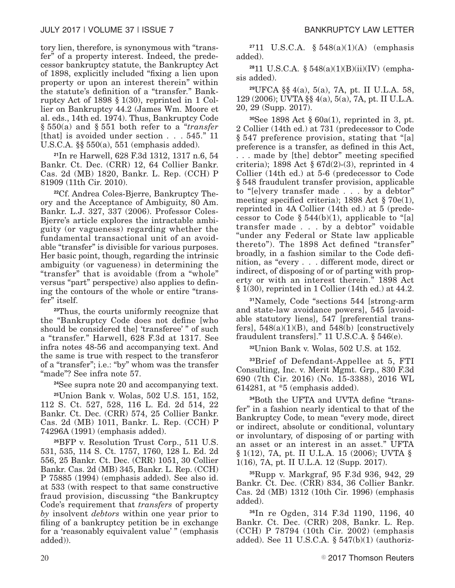tory lien, therefore, is synonymous with "transfer" of a property interest. Indeed, the predecessor bankruptcy statute, the Bankruptcy Act of 1898, explicitly included "fixing a lien upon property or upon an interest therein" within the statute's definition of a "transfer." Bankruptcy Act of 1898 § 1(30), reprinted in 1 Collier on Bankruptcy 44.2 (James Wm. Moore et al. eds., 14th ed. 1974). Thus, Bankruptcy Code § 550(a) and § 551 both refer to a "*transfer* [that] is avoided under section . . . 545." 11 U.S.C.A. §§ 550(a), 551 (emphasis added).

**<sup>21</sup>**In re Harwell, 628 F.3d 1312, 1317 n.6, 54 Bankr. Ct. Dec. (CRR) 12, 64 Collier Bankr. Cas. 2d (MB) 1820, Bankr. L. Rep. (CCH) P 81909 (11th Cir. 2010).

**22**Cf. Andrea Coles-Bjerre, Bankruptcy Theory and the Acceptance of Ambiguity, 80 Am. Bankr. L.J. 327, 337 (2006). Professor Coles-Bjerre's article explores the intractable ambiguity (or vagueness) regarding whether the fundamental transactional unit of an avoidable "transfer" is divisible for various purposes. Her basic point, though, regarding the intrinsic ambiguity (or vagueness) in determining the "transfer" that is avoidable (from a "whole" versus "part" perspective) also applies to defining the contours of the whole or entire "transfer" itself.

**<sup>23</sup>**Thus, the courts uniformly recognize that the "Bankruptcy Code does not define [who should be considered the] 'transferee' " of such a "transfer." Harwell, 628 F.3d at 1317. See infra notes 48-56 and accompanying text. And the same is true with respect to the transferor of a "transfer"; i.e.: "by" whom was the transfer "made"? See infra note 57.

**<sup>24</sup>**See supra note 20 and accompanying text.

**<sup>25</sup>**Union Bank v. Wolas, 502 U.S. 151, 152, 112 S. Ct. 527, 528, 116 L. Ed. 2d 514, 22 Bankr. Ct. Dec. (CRR) 574, 25 Collier Bankr. Cas. 2d (MB) 1011, Bankr. L. Rep. (CCH) P 74296A (1991) (emphasis added).

**<sup>26</sup>**BFP v. Resolution Trust Corp., 511 U.S. 531, 535, 114 S. Ct. 1757, 1760, 128 L. Ed. 2d 556, 25 Bankr. Ct. Dec. (CRR) 1051, 30 Collier Bankr. Cas. 2d (MB) 345, Bankr. L. Rep. (CCH) P 75885 (1994) (emphasis added). See also id. at 533 (with respect to that same constructive fraud provision, discussing "the Bankruptcy Code's requirement that *transfers* of property *by* insolvent *debtors* within one year prior to filing of a bankruptcy petition be in exchange for a 'reasonably equivalent value' " (emphasis added)).

**<sup>27</sup>**11 U.S.C.A. § 548(a)(1)(A) (emphasis added).

**28**11 U.S.C.A. § 548(a)(1)(B)(ii)(IV) (emphasis added).

**<sup>29</sup>**UFCA §§ 4(a), 5(a), 7A, pt. II U.L.A. 58, 129 (2006); UVTA §§ 4(a), 5(a), 7A, pt. II U.L.A. 20, 29 (Supp. 2017).

**<sup>30</sup>**See 1898 Act § 60a(1), reprinted in 3, pt. 2 Collier (14th ed.) at 731 (predecessor to Code § 547 preference provision, stating that "[a] preference is a transfer, as defined in this Act, . . . made by [the] debtor" meeting specified criteria); 1898 Act  $\S 67d(2)-(3)$ , reprinted in 4 Collier (14th ed.) at 5-6 (predecessor to Code § 548 fraudulent transfer provision, applicable to "[e]very transfer made . . . by a debtor" meeting specified criteria); 1898 Act § 70e(1), reprinted in 4A Collier (14th ed.) at 5 (predecessor to Code  $\S 544(b)(1)$ , applicable to "[a] transfer made . . . by a debtor" voidable "under any Federal or State law applicable thereto"). The 1898 Act defined "transfer" broadly, in a fashion similar to the Code definition, as "every . . . different mode, direct or indirect, of disposing of or of parting with property or with an interest therein." 1898 Act § 1(30), reprinted in 1 Collier (14th ed.) at 44.2.

**<sup>31</sup>**Namely, Code "sections 544 [strong-arm and state-law avoidance powers], 545 [avoidable statutory liens], 547 [preferential transfers],  $548(a)(1)(B)$ , and  $548(b)$  [constructively fraudulent transfers]." 11 U.S.C.A. § 546(e).

**<sup>32</sup>**Union Bank v. Wolas, 502 U.S. at 152.

**<sup>33</sup>**Brief of Defendant-Appellee at 5, FTI Consulting, Inc. v. Merit Mgmt. Grp., 830 F.3d 690 (7th Cir. 2016) (No. 15-3388), 2016 WL 614281, at \*5 (emphasis added).

**34**Both the UFTA and UVTA define "transfer" in a fashion nearly identical to that of the Bankruptcy Code, to mean "every mode, direct or indirect, absolute or conditional, voluntary or involuntary, of disposing of or parting with an asset or an interest in an asset." UFTA § 1(12), 7A, pt. II U.L.A. 15 (2006); UVTA § 1(16), 7A, pt. II U.L.A. 12 (Supp. 2017).

**<sup>35</sup>**Rupp v. Markgraf, 95 F.3d 936, 942, 29 Bankr. Ct. Dec. (CRR) 834, 36 Collier Bankr. Cas. 2d (MB) 1312 (10th Cir. 1996) (emphasis added).

**<sup>36</sup>**In re Ogden, 314 F.3d 1190, 1196, 40 Bankr. Ct. Dec. (CRR) 208, Bankr. L. Rep. (CCH) P 78794 (10th Cir. 2002) (emphasis added). See 11 U.S.C.A.  $\S$  547(b)(1) (authoriz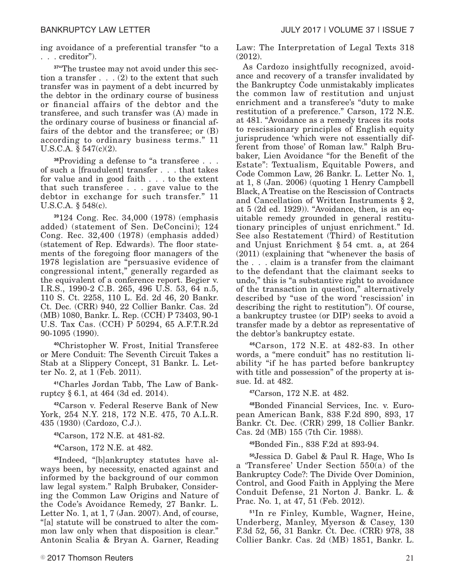ing avoidance of a preferential transfer "to a . . . creditor").

**37**"The trustee may not avoid under this section a transfer  $\dots$  (2) to the extent that such transfer was in payment of a debt incurred by the debtor in the ordinary course of business or financial affairs of the debtor and the transferee, and such transfer was (A) made in the ordinary course of business or financial affairs of the debtor and the transferee; or (B) according to ordinary business terms." 11 U.S.C.A.  $\S 547(c)(2)$ .

**<sup>38</sup>**Providing a defense to "a transferee . . . of such a [fraudulent] transfer . . . that takes for value and in good faith . . . to the extent that such transferee . . . gave value to the debtor in exchange for such transfer." 11 U.S.C.A. § 548(c).

**<sup>39</sup>**124 Cong. Rec. 34,000 (1978) (emphasis added) (statement of Sen. DeConcini); 124 Cong. Rec. 32,400 (1978) (emphasis added) (statement of Rep. Edwards). The floor statements of the foregoing floor managers of the 1978 legislation are "persuasive evidence of congressional intent," generally regarded as the equivalent of a conference report. Begier v. I.R.S., 1990-2 C.B. 265, 496 U.S. 53, 64 n.5, 110 S. Ct. 2258, 110 L. Ed. 2d 46, 20 Bankr. Ct. Dec. (CRR) 940, 22 Collier Bankr. Cas. 2d (MB) 1080, Bankr. L. Rep. (CCH) P 73403, 90-1 U.S. Tax Cas. (CCH) P 50294, 65 A.F.T.R.2d 90-1095 (1990).

**<sup>40</sup>**Christopher W. Frost, Initial Transferee or Mere Conduit: The Seventh Circuit Takes a Stab at a Slippery Concept, 31 Bankr. L. Letter No. 2, at 1 (Feb. 2011).

**41**Charles Jordan Tabb, The Law of Bankruptcy § 6.1, at 464 (3d ed. 2014).

**<sup>42</sup>**Carson v. Federal Reserve Bank of New York, 254 N.Y. 218, 172 N.E. 475, 70 A.L.R. 435 (1930) (Cardozo, C.J.).

**<sup>43</sup>**Carson, 172 N.E. at 481-82.

**<sup>44</sup>**Carson, 172 N.E. at 482.

**45**Indeed, "[b]ankruptcy statutes have always been, by necessity, enacted against and informed by the background of our common law legal system." Ralph Brubaker, Considering the Common Law Origins and Nature of the Code's Avoidance Remedy, 27 Bankr. L. Letter No. 1, at 1, 7 (Jan. 2007). And, of course, "[a] statute will be construed to alter the common law only when that disposition is clear." Antonin Scalia & Bryan A. Garner, Reading Law: The Interpretation of Legal Texts 318 (2012).

As Cardozo insightfully recognized, avoidance and recovery of a transfer invalidated by the Bankruptcy Code unmistakably implicates the common law of restitution and unjust enrichment and a transferee's "duty to make restitution of a preference." Carson, 172 N.E. at 481. "Avoidance as a remedy traces its roots to rescissionary principles of English equity jurisprudence 'which were not essentially different from those' of Roman law." Ralph Brubaker, Lien Avoidance "for the Benefit of the Estate": Textualism, Equitable Powers, and Code Common Law, 26 Bankr. L. Letter No. 1, at 1, 8 (Jan. 2006) (quoting 1 Henry Campbell Black, A Treatise on the Rescission of Contracts and Cancellation of Written Instruments § 2, at 5 (2d ed. 1929)). "Avoidance, then, is an equitable remedy grounded in general restitutionary principles of unjust enrichment." Id. See also Restatement (Third) of Restitution and Unjust Enrichment § 54 cmt. a, at 264 (2011) (explaining that "whenever the basis of the . . . claim is a transfer from the claimant to the defendant that the claimant seeks to undo," this is "a substantive right to avoidance of the transaction in question," alternatively described by "use of the word 'rescission' in describing the right to restitution"). Of course, a bankruptcy trustee (or DIP) seeks to avoid a transfer made by a debtor as representative of the debtor's bankruptcy estate.

**<sup>46</sup>**Carson, 172 N.E. at 482-83. In other words, a "mere conduit" has no restitution liability "if he has parted before bankruptcy with title and possession" of the property at issue. Id. at 482.

**<sup>47</sup>**Carson, 172 N.E. at 482.

**48**Bonded Financial Services, Inc. v. European American Bank, 838 F.2d 890, 893, 17 Bankr. Ct. Dec. (CRR) 299, 18 Collier Bankr. Cas. 2d (MB) 155 (7th Cir. 1988).

**<sup>49</sup>**Bonded Fin., 838 F.2d at 893-94.

**<sup>50</sup>**Jessica D. Gabel & Paul R. Hage, Who Is a 'Transferee' Under Section 550(a) of the Bankruptcy Code?: The Divide Over Dominion, Control, and Good Faith in Applying the Mere Conduit Defense, 21 Norton J. Bankr. L. & Prac. No. 1, at 47, 51 (Feb. 2012).

**<sup>51</sup>**In re Finley, Kumble, Wagner, Heine, Underberg, Manley, Myerson & Casey, 130 F.3d 52, 56, 31 Bankr. Ct. Dec. (CRR) 978, 38 Collier Bankr. Cas. 2d (MB) 1851, Bankr. L.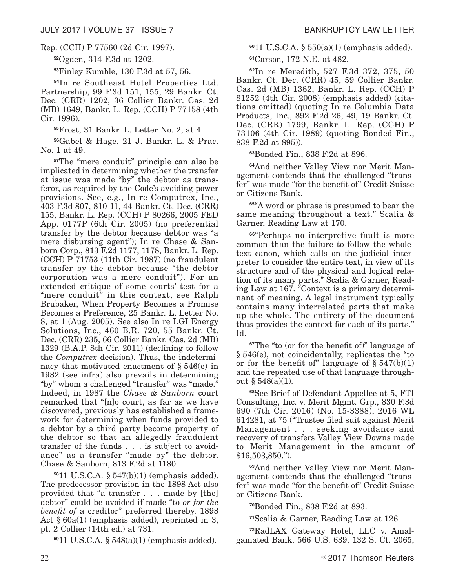#### Rep. (CCH) P 77560 (2d Cir. 1997).

**<sup>52</sup>**Ogden, 314 F.3d at 1202.

**<sup>53</sup>**Finley Kumble, 130 F.3d at 57, 56.

**<sup>54</sup>**In re Southeast Hotel Properties Ltd. Partnership, 99 F.3d 151, 155, 29 Bankr. Ct. Dec. (CRR) 1202, 36 Collier Bankr. Cas. 2d (MB) 1649, Bankr. L. Rep. (CCH) P 77158 (4th Cir. 1996).

**<sup>55</sup>**Frost, 31 Bankr. L. Letter No. 2, at 4.

**<sup>56</sup>**Gabel & Hage, 21 J. Bankr. L. & Prac. No. 1 at 49.

**<sup>57</sup>**The "mere conduit" principle can also be implicated in determining whether the transfer at issue was made "by" the debtor as transferor, as required by the Code's avoiding-power provisions. See, e.g., In re Computrex, Inc., 403 F.3d 807, 810-11, 44 Bankr. Ct. Dec. (CRR) 155, Bankr. L. Rep. (CCH) P 80266, 2005 FED App. 0177P (6th Cir. 2005) (no preferential transfer by the debtor because debtor was "a mere disbursing agent"); In re Chase & Sanborn Corp., 813 F.2d 1177, 1178, Bankr. L. Rep. (CCH) P 71753 (11th Cir. 1987) (no fraudulent transfer by the debtor because "the debtor corporation was a mere conduit"). For an extended critique of some courts' test for a "mere conduit" in this context, see Ralph Brubaker, When Property Becomes a Promise Becomes a Preference, 25 Bankr. L. Letter No. 8, at 1 (Aug. 2005). See also In re LGI Energy Solutions, Inc., 460 B.R. 720, 55 Bankr. Ct. Dec. (CRR) 235, 66 Collier Bankr. Cas. 2d (MB) 1329 (B.A.P. 8th Cir. 2011) (declining to follow the *Computrex* decision). Thus, the indeterminacy that motivated enactment of § 546(e) in 1982 (see infra) also prevails in determining "by" whom a challenged "transfer" was "made." Indeed, in 1987 the *Chase & Sanborn* court remarked that "[n]o court, as far as we have discovered, previously has established a framework for determining when funds provided to a debtor by a third party become property of the debtor so that an allegedly fraudulent transfer of the funds . . . is subject to avoidance" as a transfer "made by" the debtor. Chase & Sanborn, 813 F.2d at 1180.

**<sup>58</sup>**11 U.S.C.A. § 547(b)(1) (emphasis added). The predecessor provision in the 1898 Act also provided that "a transfer . . . made by [the] debtor" could be avoided if made "to *or for the benefit of* a creditor" preferred thereby. 1898 Act § 60a(1) (emphasis added), reprinted in 3, pt. 2 Collier (14th ed.) at 731.

**<sup>59</sup>**11 U.S.C.A. § 548(a)(1) (emphasis added).

**<sup>60</sup>**11 U.S.C.A. § 550(a)(1) (emphasis added).

**<sup>61</sup>**Carson, 172 N.E. at 482.

**<sup>62</sup>**In re Meredith, 527 F.3d 372, 375, 50 Bankr. Ct. Dec. (CRR) 45, 59 Collier Bankr. Cas. 2d (MB) 1382, Bankr. L. Rep. (CCH) P 81252 (4th Cir. 2008) (emphasis added) (citations omitted) (quoting In re Columbia Data Products, Inc., 892 F.2d 26, 49, 19 Bankr. Ct. Dec. (CRR) 1799, Bankr. L. Rep. (CCH) P 73106 (4th Cir. 1989) (quoting Bonded Fin., 838 F.2d at 895)).

**<sup>63</sup>**Bonded Fin., 838 F.2d at 896.

**64**And neither Valley View nor Merit Management contends that the challenged "transfer" was made "for the benefit of" Credit Suisse or Citizens Bank.

**<sup>65</sup>**"A word or phrase is presumed to bear the same meaning throughout a text." Scalia & Garner, Reading Law at 170.

**<sup>66</sup>**"Perhaps no interpretive fault is more common than the failure to follow the wholetext canon, which calls on the judicial interpreter to consider the entire text, in view of its structure and of the physical and logical relation of its many parts." Scalia & Garner, Reading Law at 167. "Context is a primary determinant of meaning. A legal instrument typically contains many interrelated parts that make up the whole. The entirety of the document thus provides the context for each of its parts." Id.

**<sup>67</sup>**The "to (or for the benefit of)" language of § 546(e), not coincidentally, replicates the "to or for the benefit of" language of  $\S 547(b)(1)$ and the repeated use of that language throughout § 548(a)(1).

**<sup>68</sup>**See Brief of Defendant-Appellee at 5, FTI Consulting, Inc. v. Merit Mgmt. Grp., 830 F.3d 690 (7th Cir. 2016) (No. 15-3388), 2016 WL 614281, at \*5 ("Trustee filed suit against Merit Management . . . seeking avoidance and recovery of transfers Valley View Downs made to Merit Management in the amount of \$16,503,850.").

**69**And neither Valley View nor Merit Management contends that the challenged "transfer" was made "for the benefit of" Credit Suisse or Citizens Bank.

**<sup>70</sup>**Bonded Fin., 838 F.2d at 893.

**<sup>71</sup>**Scalia & Garner, Reading Law at 126.

**72**RadLAX Gateway Hotel, LLC v. Amalgamated Bank, 566 U.S. 639, 132 S. Ct. 2065,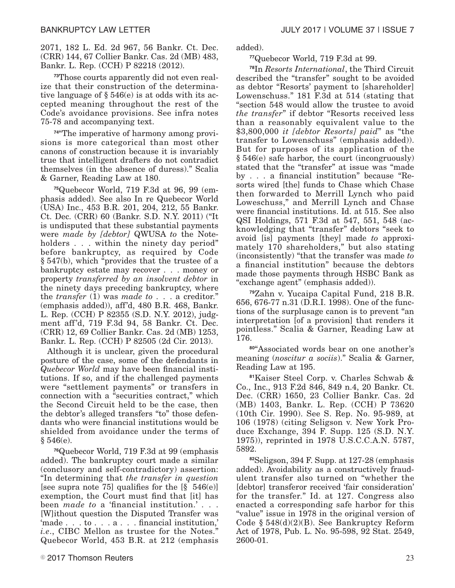2071, 182 L. Ed. 2d 967, 56 Bankr. Ct. Dec. (CRR) 144, 67 Collier Bankr. Cas. 2d (MB) 483, Bankr. L. Rep. (CCH) P 82218 (2012).

**73**Those courts apparently did not even realize that their construction of the determinative language of § 546(e) is at odds with its accepted meaning throughout the rest of the Code's avoidance provisions. See infra notes 75-78 and accompanying text.

**74**"The imperative of harmony among provisions is more categorical than most other canons of construction because it is invariably true that intelligent drafters do not contradict themselves (in the absence of duress)." Scalia & Garner, Reading Law at 180.

**75**Quebecor World, 719 F.3d at 96, 99 (emphasis added). See also In re Quebecor World (USA) Inc., 453 B.R. 201, 204, 212, 55 Bankr. Ct. Dec. (CRR) 60 (Bankr. S.D. N.Y. 2011) ("It is undisputed that these substantial payments were *made by [debtor]* QWUSA *to* the Noteholders . . . within the ninety day period" before bankruptcy, as required by Code § 547(b), which "provides that the trustee of a bankruptcy estate may recover . . . money or property *transferred by an insolvent debtor* in the ninety days preceding bankruptcy, where the *transfer* (1) was *made to* . . . a creditor." (emphasis added)), aff'd, 480 B.R. 468, Bankr. L. Rep. (CCH) P 82355 (S.D. N.Y. 2012), judgment aff'd, 719 F.3d 94, 58 Bankr. Ct. Dec. (CRR) 12, 69 Collier Bankr. Cas. 2d (MB) 1253, Bankr. L. Rep. (CCH) P 82505 (2d Cir. 2013).

Although it is unclear, given the procedural posture of the case, some of the defendants in *Quebecor World* may have been financial institutions. If so, and if the challenged payments were "settlement payments" or transfers in connection with a "securities contract," which the Second Circuit held to be the case, then the debtor's alleged transfers "to" those defendants who were financial institutions would be shielded from avoidance under the terms of  $§ 546(e).$ 

**<sup>76</sup>**Quebecor World, 719 F.3d at 99 (emphasis added). The bankruptcy court made a similar (conclusory and self-contradictory) assertion: "In determining that *the transfer in question* [see supra note 75] qualifies for the  $[\S 546(e)]$ exemption, the Court must find that [it] has been *made to* a 'financial institution.' . . . [W]ithout question the Disputed Transfer was 'made . . . to . . . a . . . financial institution,' *i.e*., CIBC Mellon as trustee for the Notes." Quebecor World, 453 B.R. at 212 (emphasis **<sup>77</sup>**Quebecor World, 719 F.3d at 99.

**<sup>78</sup>**In *Resorts International*, the Third Circuit described the "transfer" sought to be avoided as debtor "Resorts' payment to [shareholder] Lowenschuss." 181 F.3d at 514 (stating that "section 548 would allow the trustee to avoid *the transfer*" if debtor "Resorts received less than a reasonably equivalent value to the \$3,800,000 *it [debtor Resorts] paid*" as "the transfer to Lowenschuss" (emphasis added)). But for purposes of its application of the § 546(e) safe harbor, the court (incongruously) stated that the "transfer" at issue was "made by . . . a financial institution" because "Resorts wired [the] funds to Chase which Chase then forwarded to Merrill Lynch who paid Loweschuss," and Merrill Lynch and Chase were financial institutions. Id. at 515. See also QSI Holdings, 571 F.3d at 547, 551, 548 (acknowledging that "transfer" debtors "seek to avoid [is] payments [they] made *to* approximately 170 shareholders," but also stating (inconsistently) "that the transfer was made *to* a financial institution" because the debtors made those payments through HSBC Bank as "exchange agent" (emphasis added)).

**<sup>79</sup>**Zahn v. Yucaipa Capital Fund, 218 B.R. 656, 676-77 n.31 (D.R.I. 1998). One of the functions of the surplusage canon is to prevent "an interpretation [of a provision] that renders it pointless." Scalia & Garner, Reading Law at 176.

**<sup>80</sup>**"Associated words bear on one another's meaning (*noscitur a sociis*)." Scalia & Garner, Reading Law at 195.

**<sup>81</sup>**Kaiser Steel Corp. v. Charles Schwab & Co., Inc., 913 F.2d 846, 849 n.4, 20 Bankr. Ct. Dec. (CRR) 1650, 23 Collier Bankr. Cas. 2d (MB) 1403, Bankr. L. Rep. (CCH) P 73620 (10th Cir. 1990). See S. Rep. No. 95-989, at 106 (1978) (citing Seligson v. New York Produce Exchange, 394 F. Supp. 125 (S.D. N.Y. 1975)), reprinted in 1978 U.S.C.C.A.N. 5787, 5892.

**<sup>82</sup>**Seligson, 394 F. Supp. at 127-28 (emphasis added). Avoidability as a constructively fraudulent transfer also turned on "whether the [debtor] transferor received 'fair consideration' for the transfer." Id. at 127. Congress also enacted a corresponding safe harbor for this "value" issue in 1978 in the original version of Code § 548(d)(2)(B). See Bankruptcy Reform Act of 1978, Pub. L. No. 95-598, 92 Stat. 2549, 2600-01.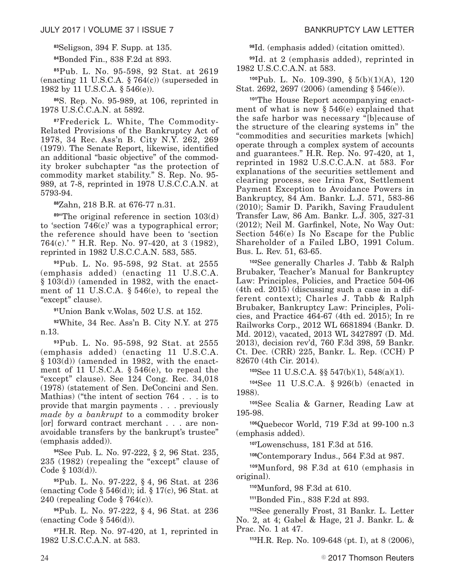**<sup>83</sup>**Seligson, 394 F. Supp. at 135.

**<sup>84</sup>**Bonded Fin., 838 F.2d at 893.

**<sup>85</sup>**Pub. L. No. 95-598, 92 Stat. at 2619 (enacting 11 U.S.C.A.  $\S 764(c)$ ) (superseded in 1982 by 11 U.S.C.A. § 546(e)).

**<sup>86</sup>**S. Rep. No. 95-989, at 106, reprinted in 1978 U.S.C.C.A.N. at 5892.

**87**Frederick L. White, The Commodity-Related Provisions of the Bankruptcy Act of 1978, 34 Rec. Ass'n B. City N.Y. 262, 269 (1979). The Senate Report, likewise, identified an additional "basic objective" of the commodity broker subchapter "as the protection of commodity market stability." S. Rep. No. 95- 989, at 7-8, reprinted in 1978 U.S.C.C.A.N. at 5793-94.

**<sup>88</sup>**Zahn, 218 B.R. at 676-77 n.31.

**<sup>89</sup>**"The original reference in section 103(d) to 'section 746(c)' was a typographical error; the reference should have been to 'section 764(c).' " H.R. Rep. No. 97-420, at 3 (1982), reprinted in 1982 U.S.C.C.A.N. 583, 585.

**<sup>90</sup>**Pub. L. No. 95-598, 92 Stat. at 2555 (emphasis added) (enacting 11 U.S.C.A. § 103(d)) (amended in 1982, with the enactment of 11 U.S.C.A. § 546(e), to repeal the "except" clause).

**<sup>91</sup>**Union Bank v.Wolas, 502 U.S. at 152.

**<sup>92</sup>**White, 34 Rec. Ass'n B. City N.Y. at 275 n.13.

**<sup>93</sup>**Pub. L. No. 95-598, 92 Stat. at 2555 (emphasis added) (enacting 11 U.S.C.A.  $§ 103(d)$  (amended in 1982, with the enactment of 11 U.S.C.A. § 546(e), to repeal the "except" clause). See 124 Cong. Rec. 34,018 (1978) (statement of Sen. DeConcini and Sen. Mathias) ("the intent of section 764 . . . is to provide that margin payments . . . previously *made by a bankrupt* to a commodity broker [or] forward contract merchant . . . are nonavoidable transfers by the bankrupt's trustee" (emphasis added)).

**<sup>94</sup>**See Pub. L. No. 97-222, § 2, 96 Stat. 235, 235 (1982) (repealing the "except" clause of Code  $\S$  103(d)).

**<sup>95</sup>**Pub. L. No. 97-222, § 4, 96 Stat. at 236 (enacting Code § 546(d)); id. § 17(c), 96 Stat. at 240 (repealing Code § 764(c)).

**<sup>96</sup>**Pub. L. No. 97-222, § 4, 96 Stat. at 236 (enacting Code  $\S 546(d)$ ).

**<sup>97</sup>**H.R. Rep. No. 97-420, at 1, reprinted in 1982 U.S.C.C.A.N. at 583.

**<sup>98</sup>**Id. (emphasis added) (citation omitted).

**<sup>99</sup>**Id. at 2 (emphasis added), reprinted in 1982 U.S.C.C.A.N. at 583.

**<sup>100</sup>**Pub. L. No. 109-390, § 5(b)(1)(A), 120 Stat. 2692, 2697 (2006) (amending § 546(e)).

**101**The House Report accompanying enactment of what is now § 546(e) explained that the safe harbor was necessary "[b]ecause of the structure of the clearing systems in" the "commodities and securities markets [which] operate through a complex system of accounts and guarantees." H.R. Rep. No. 97-420, at 1, reprinted in 1982 U.S.C.C.A.N. at 583. For explanations of the securities settlement and clearing process, see Irina Fox, Settlement Payment Exception to Avoidance Powers in Bankruptcy, 84 Am. Bankr. L.J. 571, 583-86 (2010); Samir D. Parikh, Saving Fraudulent Transfer Law, 86 Am. Bankr. L.J. 305, 327-31 (2012); Neil M. Garfinkel, Note, No Way Out: Section 546(e) Is No Escape for the Public Shareholder of a Failed LBO, 1991 Colum. Bus. L. Rev. 51, 63-65.

**<sup>102</sup>**See generally Charles J. Tabb & Ralph Brubaker, Teacher's Manual for Bankruptcy Law: Principles, Policies, and Practice 504-06 (4th ed. 2015) (discussing such a case in a different context); Charles J. Tabb & Ralph Brubaker, Bankruptcy Law: Principles, Policies, and Practice 464-67 (4th ed. 2015); In re Railworks Corp., 2012 WL 6681894 (Bankr. D. Md. 2012), vacated, 2013 WL 3427897 (D. Md. 2013), decision rev'd, 760 F.3d 398, 59 Bankr. Ct. Dec. (CRR) 225, Bankr. L. Rep. (CCH) P 82670 (4th Cir. 2014).

**<sup>103</sup>**See 11 U.S.C.A. §§ 547(b)(1), 548(a)(1).

**<sup>104</sup>**See 11 U.S.C.A. § 926(b) (enacted in 1988).

**<sup>105</sup>**See Scalia & Garner, Reading Law at 195-98.

**<sup>106</sup>**Quebecor World, 719 F.3d at 99-100 n.3 (emphasis added).

**<sup>107</sup>**Lowenschuss, 181 F.3d at 516.

**<sup>108</sup>**Contemporary Indus., 564 F.3d at 987.

**<sup>109</sup>**Munford, 98 F.3d at 610 (emphasis in original).

**<sup>110</sup>**Munford, 98 F.3d at 610.

**<sup>111</sup>**Bonded Fin., 838 F.2d at 893.

**<sup>112</sup>**See generally Frost, 31 Bankr. L. Letter No. 2, at 4; Gabel & Hage, 21 J. Bankr. L. & Prac. No. 1 at 47.

**<sup>113</sup>**H.R. Rep. No. 109-648 (pt. I), at 8 (2006),

 $24$   $24$   $2017$  Thomson Reuters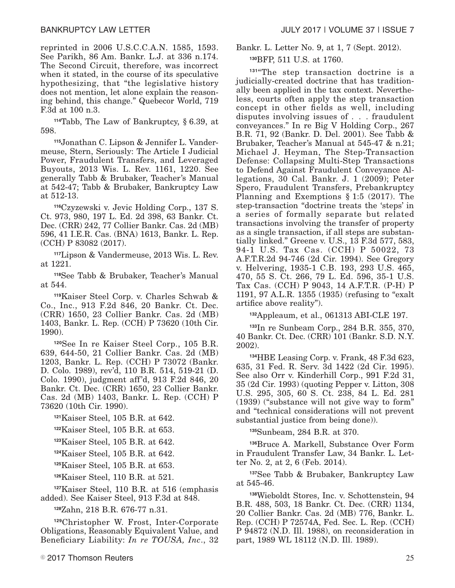reprinted in 2006 U.S.C.C.A.N. 1585, 1593. See Parikh, 86 Am. Bankr. L.J. at 336 n.174. The Second Circuit, therefore, was incorrect when it stated, in the course of its speculative hypothesizing, that "the legislative history does not mention, let alone explain the reasoning behind, this change." Quebecor World, 719 F.3d at 100 n.3.

**<sup>114</sup>**Tabb, The Law of Bankruptcy, § 6.39, at 598.

**115**Jonathan C. Lipson & Jennifer L. Vandermeuse, Stern, Seriously: The Article I Judicial Power, Fraudulent Transfers, and Leveraged Buyouts, 2013 Wis. L. Rev. 1161, 1220. See generally Tabb & Brubaker, Teacher's Manual at 542-47; Tabb & Brubaker, Bankruptcy Law at 512-13.

**<sup>116</sup>**Czyzewski v. Jevic Holding Corp., 137 S. Ct. 973, 980, 197 L. Ed. 2d 398, 63 Bankr. Ct. Dec. (CRR) 242, 77 Collier Bankr. Cas. 2d (MB) 596, 41 I.E.R. Cas. (BNA) 1613, Bankr. L. Rep. (CCH) P 83082 (2017).

**<sup>117</sup>**Lipson & Vandermeuse, 2013 Wis. L. Rev. at 1221.

**<sup>118</sup>**See Tabb & Brubaker, Teacher's Manual at 544.

**<sup>119</sup>**Kaiser Steel Corp. v. Charles Schwab & Co., Inc., 913 F.2d 846, 20 Bankr. Ct. Dec. (CRR) 1650, 23 Collier Bankr. Cas. 2d (MB) 1403, Bankr. L. Rep. (CCH) P 73620 (10th Cir. 1990).

**<sup>120</sup>**See In re Kaiser Steel Corp., 105 B.R. 639, 644-50, 21 Collier Bankr. Cas. 2d (MB) 1203, Bankr. L. Rep. (CCH) P 73072 (Bankr. D. Colo. 1989), rev'd, 110 B.R. 514, 519-21 (D. Colo. 1990), judgment aff'd, 913 F.2d 846, 20 Bankr. Ct. Dec. (CRR) 1650, 23 Collier Bankr. Cas. 2d (MB) 1403, Bankr. L. Rep. (CCH) P 73620 (10th Cir. 1990).

| $121$ Kaiser Steel, 105 B.R. at 642. |  |  |  |  |  |
|--------------------------------------|--|--|--|--|--|
|--------------------------------------|--|--|--|--|--|

**<sup>122</sup>**Kaiser Steel, 105 B.R. at 653.

**<sup>123</sup>**Kaiser Steel, 105 B.R. at 642.

**<sup>124</sup>**Kaiser Steel, 105 B.R. at 642.

**<sup>125</sup>**Kaiser Steel, 105 B.R. at 653.

**<sup>126</sup>**Kaiser Steel, 110 B.R. at 521.

**<sup>127</sup>**Kaiser Steel, 110 B.R. at 516 (emphasis added). See Kaiser Steel, 913 F.3d at 848.

**<sup>128</sup>**Zahn, 218 B.R. 676-77 n.31.

**<sup>129</sup>**Christopher W. Frost, Inter-Corporate Obligations, Reasonably Equivalent Value, and Beneficiary Liability: *In re TOUSA, Inc*., 32

Bankr. L. Letter No. 9, at 1, 7 (Sept. 2012).

**<sup>130</sup>**BFP, 511 U.S. at 1760.

**<sup>131</sup>**"The step transaction doctrine is a judicially-created doctrine that has traditionally been applied in the tax context. Nevertheless, courts often apply the step transaction concept in other fields as well, including disputes involving issues of . . . fraudulent conveyances." In re Big V Holding Corp., 267 B.R. 71, 92 (Bankr. D. Del. 2001). See Tabb & Brubaker, Teacher's Manual at 545-47 & n.21; Michael J. Heyman, The Step-Transaction Defense: Collapsing Multi-Step Transactions to Defend Against Fraudulent Conveyance Allegations, 30 Cal. Bankr. J. 1 (2009); Peter Spero, Fraudulent Transfers, Prebankruptcy Planning and Exemptions § 1:5 (2017). The step-transaction "doctrine treats the 'steps' in a series of formally separate but related transactions involving the transfer of property as a single transaction, if all steps are substantially linked." Greene v. U.S., 13 F.3d 577, 583, 94-1 U.S. Tax Cas. (CCH) P 50022, 73 A.F.T.R.2d 94-746 (2d Cir. 1994). See Gregory v. Helvering, 1935-1 C.B. 193, 293 U.S. 465, 470, 55 S. Ct. 266, 79 L. Ed. 596, 35-1 U.S. Tax Cas. (CCH) P 9043, 14 A.F.T.R. (P-H) P 1191, 97 A.L.R. 1355 (1935) (refusing to "exalt artifice above reality").

**<sup>132</sup>**Appleaum, et al., 061313 ABI-CLE 197.

**<sup>133</sup>**In re Sunbeam Corp., 284 B.R. 355, 370, 40 Bankr. Ct. Dec. (CRR) 101 (Bankr. S.D. N.Y. 2002).

**<sup>134</sup>**HBE Leasing Corp. v. Frank, 48 F.3d 623, 635, 31 Fed. R. Serv. 3d 1422 (2d Cir. 1995). See also Orr v. Kinderhill Corp., 991 F.2d 31, 35 (2d Cir. 1993) (quoting Pepper v. Litton, 308 U.S. 295, 305, 60 S. Ct. 238, 84 L. Ed. 281 (1939) ("substance will not give way to form" and "technical considerations will not prevent substantial justice from being done)).

**<sup>135</sup>**Sunbeam, 284 B.R. at 370.

**<sup>136</sup>**Bruce A. Markell, Substance Over Form in Fraudulent Transfer Law, 34 Bankr. L. Letter No. 2, at 2, 6 (Feb. 2014).

**<sup>137</sup>**See Tabb & Brubaker, Bankruptcy Law at 545-46.

**<sup>138</sup>**Wieboldt Stores, Inc. v. Schottenstein, 94 B.R. 488, 503, 18 Bankr. Ct. Dec. (CRR) 1134, 20 Collier Bankr. Cas. 2d (MB) 776, Bankr. L. Rep. (CCH) P 72574A, Fed. Sec. L. Rep. (CCH) P 94872 (N.D. Ill. 1988), on reconsideration in part, 1989 WL 18112 (N.D. Ill. 1989).